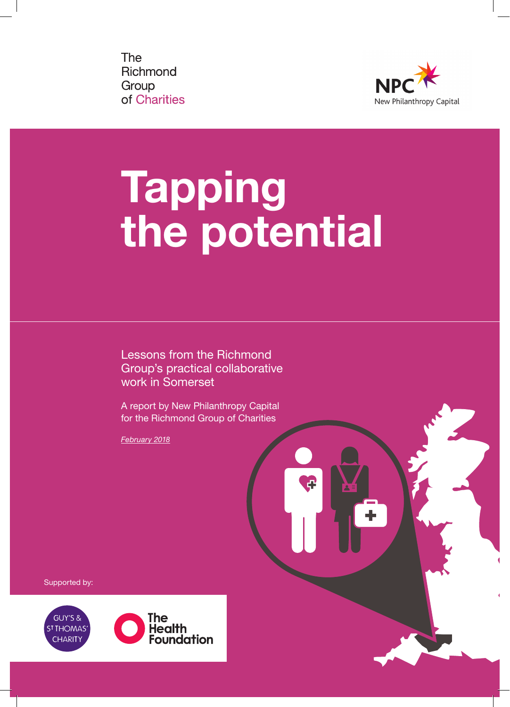**The** Richmond Group of Charities



# Tapping the potential

凸

Lessons from the Richmond Group's practical collaborative work in Somerset

A report by New Philanthropy Capital for the Richmond Group of Charities

*February 2018*

Supported by:

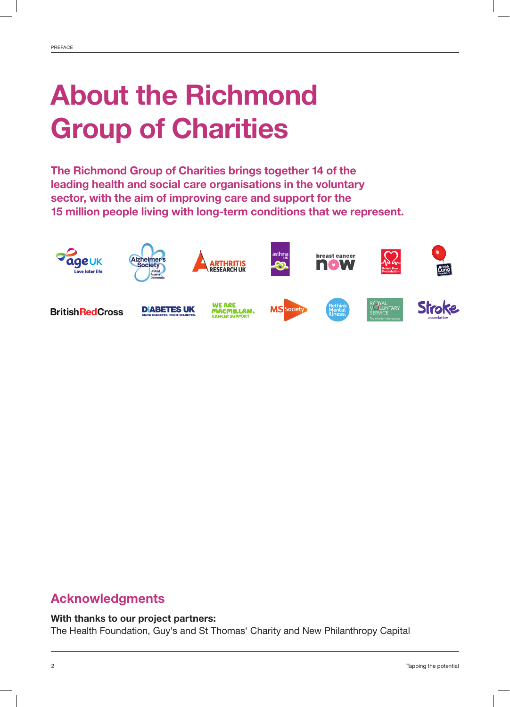## About the Richmond Group of Charities

The Richmond Group of Charities brings together 14 of the leading health and social care organisations in the voluntary sector, with the aim of improving care and support for the 15 million people living with long-term conditions that we represent.



## Acknowledgments

### With thanks to our project partners:

The Health Foundation, Guy's and St Thomas' Charity and New Philanthropy Capital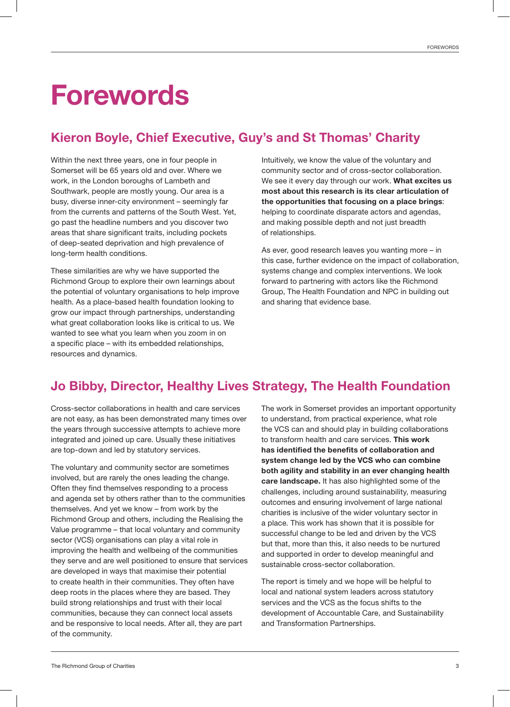## Forewords

## Kieron Boyle, Chief Executive, Guy's and St Thomas' Charity

Within the next three years, one in four people in Somerset will be 65 years old and over. Where we work, in the London boroughs of Lambeth and Southwark, people are mostly young. Our area is a busy, diverse inner-city environment – seemingly far from the currents and patterns of the South West. Yet, go past the headline numbers and you discover two areas that share significant traits, including pockets of deep-seated deprivation and high prevalence of long-term health conditions.

These similarities are why we have supported the Richmond Group to explore their own learnings about the potential of voluntary organisations to help improve health. As a place-based health foundation looking to grow our impact through partnerships, understanding what great collaboration looks like is critical to us. We wanted to see what you learn when you zoom in on a specific place – with its embedded relationships, resources and dynamics.

Intuitively, we know the value of the voluntary and community sector and of cross-sector collaboration. We see it every day through our work. What excites us most about this research is its clear articulation of the opportunities that focusing on a place brings: helping to coordinate disparate actors and agendas, and making possible depth and not just breadth of relationships.

As ever, good research leaves you wanting more – in this case, further evidence on the impact of collaboration, systems change and complex interventions. We look forward to partnering with actors like the Richmond Group, The Health Foundation and NPC in building out and sharing that evidence base.

## Jo Bibby, Director, Healthy Lives Strategy, The Health Foundation

Cross-sector collaborations in health and care services are not easy, as has been demonstrated many times over the years through successive attempts to achieve more integrated and joined up care. Usually these initiatives are top-down and led by statutory services.

The voluntary and community sector are sometimes involved, but are rarely the ones leading the change. Often they find themselves responding to a process and agenda set by others rather than to the communities themselves. And yet we know – from work by the Richmond Group and others, including the Realising the Value programme – that local voluntary and community sector (VCS) organisations can play a vital role in improving the health and wellbeing of the communities they serve and are well positioned to ensure that services are developed in ways that maximise their potential to create health in their communities. They often have deep roots in the places where they are based. They build strong relationships and trust with their local communities, because they can connect local assets and be responsive to local needs. After all, they are part of the community.

The work in Somerset provides an important opportunity to understand, from practical experience, what role the VCS can and should play in building collaborations to transform health and care services. This work has identified the benefits of collaboration and system change led by the VCS who can combine both agility and stability in an ever changing health care landscape. It has also highlighted some of the challenges, including around sustainability, measuring outcomes and ensuring involvement of large national charities is inclusive of the wider voluntary sector in a place. This work has shown that it is possible for successful change to be led and driven by the VCS but that, more than this, it also needs to be nurtured and supported in order to develop meaningful and sustainable cross-sector collaboration.

The report is timely and we hope will be helpful to local and national system leaders across statutory services and the VCS as the focus shifts to the development of Accountable Care, and Sustainability and Transformation Partnerships.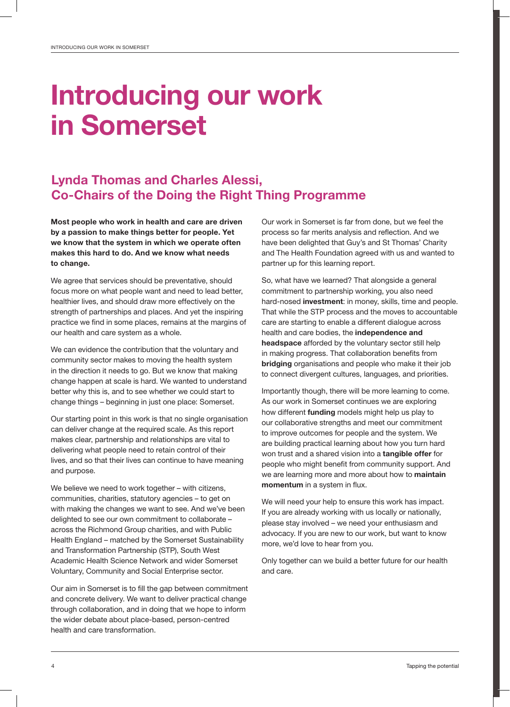## Introducing our work in Somerset

## Lynda Thomas and Charles Alessi, Co-Chairs of the Doing the Right Thing Programme

Most people who work in health and care are driven by a passion to make things better for people. Yet we know that the system in which we operate often makes this hard to do. And we know what needs to change.

We agree that services should be preventative, should focus more on what people want and need to lead better, healthier lives, and should draw more effectively on the strength of partnerships and places. And yet the inspiring practice we find in some places, remains at the margins of our health and care system as a whole.

We can evidence the contribution that the voluntary and community sector makes to moving the health system in the direction it needs to go. But we know that making change happen at scale is hard. We wanted to understand better why this is, and to see whether we could start to change things – beginning in just one place: Somerset.

Our starting point in this work is that no single organisation can deliver change at the required scale. As this report makes clear, partnership and relationships are vital to delivering what people need to retain control of their lives, and so that their lives can continue to have meaning and purpose.

We believe we need to work together – with citizens, communities, charities, statutory agencies – to get on with making the changes we want to see. And we've been delighted to see our own commitment to collaborate – across the Richmond Group charities, and with Public Health England – matched by the Somerset Sustainability and Transformation Partnership (STP), South West Academic Health Science Network and wider Somerset Voluntary, Community and Social Enterprise sector.

Our aim in Somerset is to fill the gap between commitment and concrete delivery. We want to deliver practical change through collaboration, and in doing that we hope to inform the wider debate about place-based, person-centred health and care transformation.

Our work in Somerset is far from done, but we feel the process so far merits analysis and reflection. And we have been delighted that Guy's and St Thomas' Charity and The Health Foundation agreed with us and wanted to partner up for this learning report.

So, what have we learned? That alongside a general commitment to partnership working, you also need hard-nosed **investment**: in money, skills, time and people. That while the STP process and the moves to accountable care are starting to enable a different dialogue across health and care bodies, the independence and headspace afforded by the voluntary sector still help in making progress. That collaboration benefits from bridging organisations and people who make it their job to connect divergent cultures, languages, and priorities.

Importantly though, there will be more learning to come. As our work in Somerset continues we are exploring how different funding models might help us play to our collaborative strengths and meet our commitment to improve outcomes for people and the system. We are building practical learning about how you turn hard won trust and a shared vision into a tangible offer for people who might benefit from community support. And we are learning more and more about how to maintain momentum in a system in flux.

We will need your help to ensure this work has impact. If you are already working with us locally or nationally, please stay involved – we need your enthusiasm and advocacy. If you are new to our work, but want to know more, we'd love to hear from you.

Only together can we build a better future for our health and care.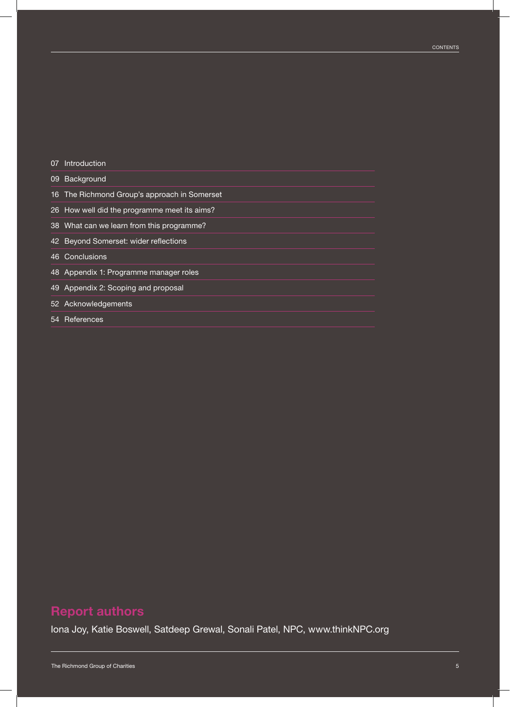|    | 07 Introduction                              |
|----|----------------------------------------------|
|    | 09 Background                                |
|    | 16 The Richmond Group's approach in Somerset |
|    | 26 How well did the programme meet its aims? |
|    | 38 What can we learn from this programme?    |
|    | 42 Beyond Somerset: wider reflections        |
|    | 46 Conclusions                               |
|    | 48 Appendix 1: Programme manager roles       |
| 49 | Appendix 2: Scoping and proposal             |
|    | 52 Acknowledgements                          |
| 54 | References                                   |

## Report authors

Iona Joy, Katie Boswell, Satdeep Grewal, Sonali Patel, NPC, www.thinkNPC.org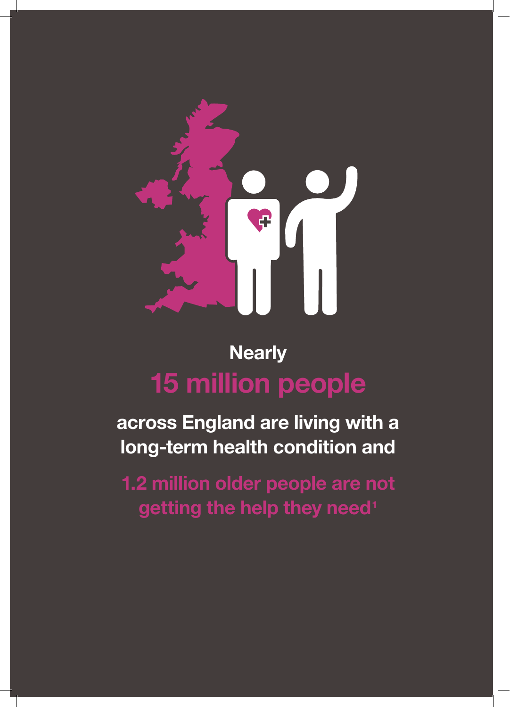

## **Nearly** 15 million people

across England are living with a long-term health condition and

1.2 million older people are not getting the help they need<sup>1</sup>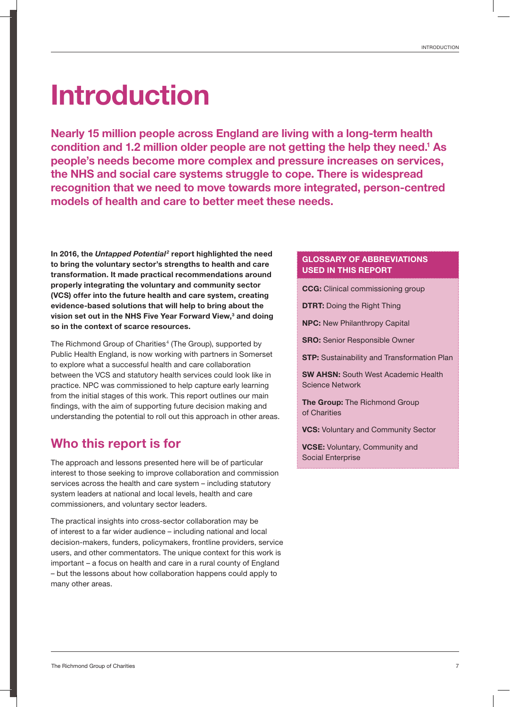## Introduction

Nearly 15 million people across England are living with a long-term health condition and 1.2 million older people are not getting the help they need.<sup>1</sup> As people's needs become more complex and pressure increases on services, the NHS and social care systems struggle to cope. There is widespread recognition that we need to move towards more integrated, person-centred models of health and care to better meet these needs.

In 2016, the *Untapped Potential<sup>2</sup>* report highlighted the need to bring the voluntary sector's strengths to health and care transformation. It made practical recommendations around properly integrating the voluntary and community sector (VCS) offer into the future health and care system, creating evidence-based solutions that will help to bring about the vision set out in the NHS Five Year Forward View,<sup>3</sup> and doing so in the context of scarce resources.

The Richmond Group of Charities<sup>4</sup> (The Group), supported by Public Health England, is now working with partners in Somerset to explore what a successful health and care collaboration between the VCS and statutory health services could look like in practice. NPC was commissioned to help capture early learning from the initial stages of this work. This report outlines our main findings, with the aim of supporting future decision making and understanding the potential to roll out this approach in other areas.

## Who this report is for

The approach and lessons presented here will be of particular interest to those seeking to improve collaboration and commission services across the health and care system – including statutory system leaders at national and local levels, health and care commissioners, and voluntary sector leaders.

The practical insights into cross-sector collaboration may be of interest to a far wider audience – including national and local decision-makers, funders, policymakers, frontline providers, service users, and other commentators. The unique context for this work is important – a focus on health and care in a rural county of England – but the lessons about how collaboration happens could apply to many other areas.

#### GLOSSARY OF ABBREVIATIONS USED IN THIS REPORT

CCG: Clinical commissioning group

**DTRT: Doing the Right Thing** 

NPC: New Philanthropy Capital

SRO: Senior Responsible Owner

**STP:** Sustainability and Transformation Plan

SW AHSN: South West Academic Health Science Network

The Group: The Richmond Group of Charities

**VCS: Voluntary and Community Sector** 

VCSE: Voluntary, Community and Social Enterprise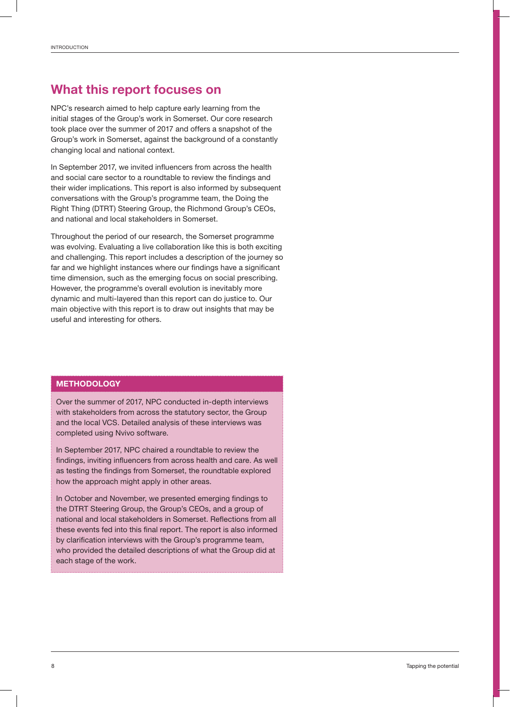### What this report focuses on

NPC's research aimed to help capture early learning from the initial stages of the Group's work in Somerset. Our core research took place over the summer of 2017 and offers a snapshot of the Group's work in Somerset, against the background of a constantly changing local and national context.

In September 2017, we invited influencers from across the health and social care sector to a roundtable to review the findings and their wider implications. This report is also informed by subsequent conversations with the Group's programme team, the Doing the Right Thing (DTRT) Steering Group, the Richmond Group's CEOs, and national and local stakeholders in Somerset.

Throughout the period of our research, the Somerset programme was evolving. Evaluating a live collaboration like this is both exciting and challenging. This report includes a description of the journey so far and we highlight instances where our findings have a significant time dimension, such as the emerging focus on social prescribing. However, the programme's overall evolution is inevitably more dynamic and multi-layered than this report can do justice to. Our main objective with this report is to draw out insights that may be useful and interesting for others.

#### **METHODOLOGY**

Over the summer of 2017, NPC conducted in-depth interviews with stakeholders from across the statutory sector, the Group and the local VCS. Detailed analysis of these interviews was completed using Nvivo software.

In September 2017, NPC chaired a roundtable to review the findings, inviting influencers from across health and care. As well as testing the findings from Somerset, the roundtable explored how the approach might apply in other areas.

In October and November, we presented emerging findings to the DTRT Steering Group, the Group's CEOs, and a group of national and local stakeholders in Somerset. Reflections from all these events fed into this final report. The report is also informed by clarification interviews with the Group's programme team, who provided the detailed descriptions of what the Group did at each stage of the work.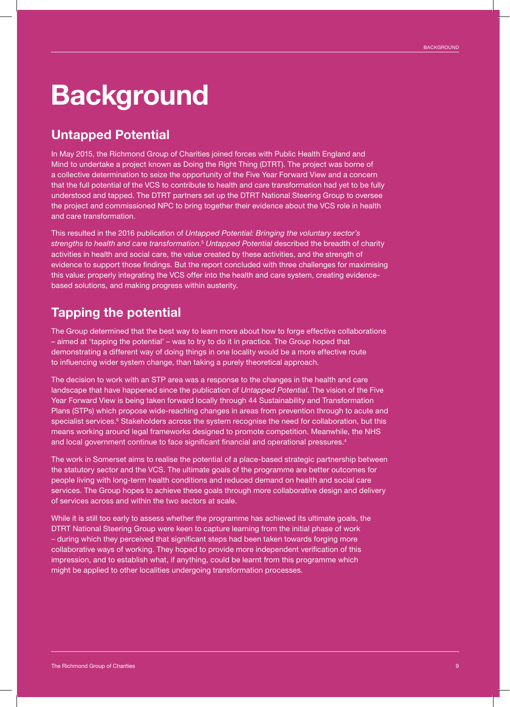## **Background**

## Untapped Potential

In May 2015, the Richmond Group of Charities joined forces with Public Health England and Mind to undertake a project known as Doing the Right Thing (DTRT). The project was borne of a collective determination to seize the opportunity of the Five Year Forward View and a concern that the full potential of the VCS to contribute to health and care transformation had yet to be fully understood and tapped. The DTRT partners set up the DTRT National Steering Group to oversee the project and commissioned NPC to bring together their evidence about the VCS role in health and care transformation.

This resulted in the 2016 publication of *Untapped Potential: Bringing the voluntary sector's strengths to health and care transformation*. <sup>5</sup> *Untapped Potential* described the breadth of charity activities in health and social care, the value created by these activities, and the strength of evidence to support those findings. But the report concluded with three challenges for maximising this value: properly integrating the VCS offer into the health and care system, creating evidencebased solutions, and making progress within austerity.

## Tapping the potential

The Group determined that the best way to learn more about how to forge effective collaborations – aimed at 'tapping the potential' – was to try to do it in practice. The Group hoped that demonstrating a different way of doing things in one locality would be a more effective route to influencing wider system change, than taking a purely theoretical approach.

The decision to work with an STP area was a response to the changes in the health and care landscape that have happened since the publication of *Untapped Potential*. The vision of the Five Year Forward View is being taken forward locally through 44 Sustainability and Transformation Plans (STPs) which propose wide-reaching changes in areas from prevention through to acute and specialist services.<sup>6</sup> Stakeholders across the system recognise the need for collaboration, but this means working around legal frameworks designed to promote competition. Meanwhile, the NHS and local government continue to face significant financial and operational pressures.<sup>4</sup>

The work in Somerset aims to realise the potential of a place-based strategic partnership between the statutory sector and the VCS. The ultimate goals of the programme are better outcomes for people living with long-term health conditions and reduced demand on health and social care services. The Group hopes to achieve these goals through more collaborative design and delivery of services across and within the two sectors at scale.

While it is still too early to assess whether the programme has achieved its ultimate goals, the DTRT National Steering Group were keen to capture learning from the initial phase of work – during which they perceived that significant steps had been taken towards forging more collaborative ways of working. They hoped to provide more independent verification of this impression, and to establish what, if anything, could be learnt from this programme which might be applied to other localities undergoing transformation processes.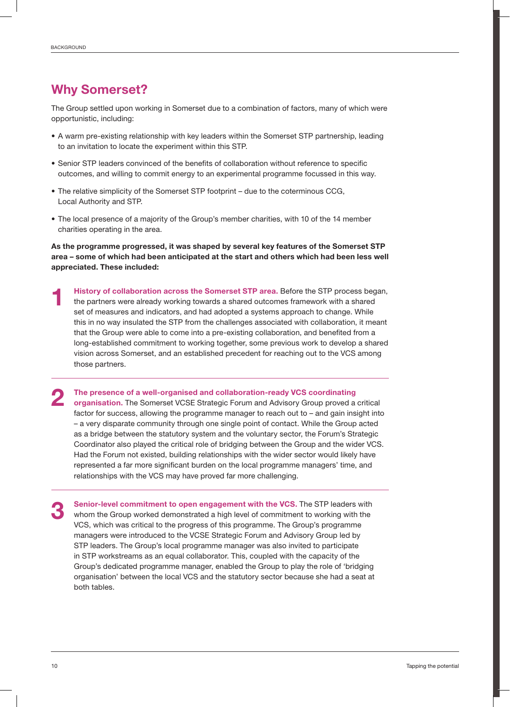## Why Somerset?

The Group settled upon working in Somerset due to a combination of factors, many of which were opportunistic, including:

- A warm pre-existing relationship with key leaders within the Somerset STP partnership, leading to an invitation to locate the experiment within this STP.
- Senior STP leaders convinced of the benefits of collaboration without reference to specific outcomes, and willing to commit energy to an experimental programme focussed in this way.
- The relative simplicity of the Somerset STP footprint due to the coterminous CCG, Local Authority and STP.
- The local presence of a majority of the Group's member charities, with 10 of the 14 member charities operating in the area.

As the programme progressed, it was shaped by several key features of the Somerset STP area – some of which had been anticipated at the start and others which had been less well appreciated. These included:

History of collaboration across the Somerset STP area. Before the STP process began, the partners were already working towards a shared outcomes framework with a shared set of measures and indicators, and had adopted a systems approach to change. While this in no way insulated the STP from the challenges associated with collaboration, it meant that the Group were able to come into a pre-existing collaboration, and benefited from a long-established commitment to working together, some previous work to develop a shared vision across Somerset, and an established precedent for reaching out to the VCS among those partners. 1

The presence of a well-organised and collaboration-ready VCS coordinating organisation. The Somerset VCSE Strategic Forum and Advisory Group proved a critical factor for success, allowing the programme manager to reach out to – and gain insight into – a very disparate community through one single point of contact. While the Group acted as a bridge between the statutory system and the voluntary sector, the Forum's Strategic Coordinator also played the critical role of bridging between the Group and the wider VCS. Had the Forum not existed, building relationships with the wider sector would likely have represented a far more significant burden on the local programme managers' time, and relationships with the VCS may have proved far more challenging. 2

Senior-level commitment to open engagement with the VCS. The STP leaders with whom the Group worked demonstrated a high level of commitment to working with the VCS, which was critical to the progress of this programme. The Group's programme managers were introduced to the VCSE Strategic Forum and Advisory Group led by STP leaders. The Group's local programme manager was also invited to participate in STP workstreams as an equal collaborator. This, coupled with the capacity of the Group's dedicated programme manager, enabled the Group to play the role of 'bridging organisation' between the local VCS and the statutory sector because she had a seat at both tables. 3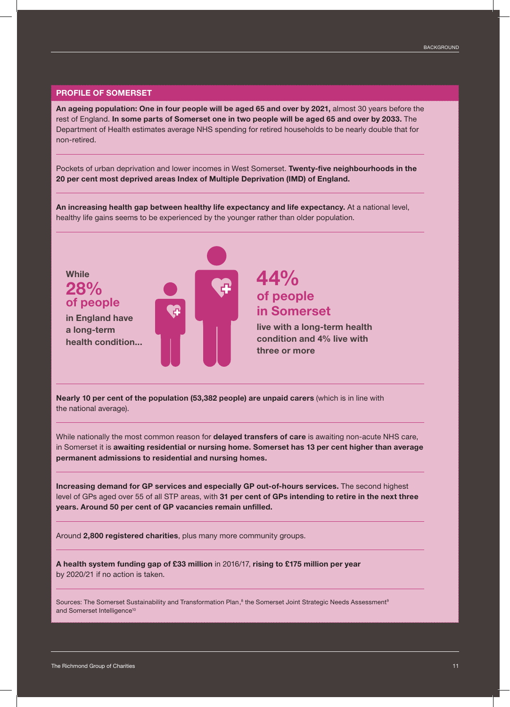#### PROFILE OF SOMERSET

An ageing population: One in four people will be aged 65 and over by 2021, almost 30 years before the rest of England. In some parts of Somerset one in two people will be aged 65 and over by 2033. The Department of Health estimates average NHS spending for retired households to be nearly double that for non-retired.

Pockets of urban deprivation and lower incomes in West Somerset. Twenty-five neighbourhoods in the 20 per cent most deprived areas Index of Multiple Deprivation (IMD) of England.

An increasing health gap between healthy life expectancy and life expectancy. At a national level, healthy life gains seems to be experienced by the younger rather than older population.



Nearly 10 per cent of the population (53,382 people) are unpaid carers (which is in line with the national average).

While nationally the most common reason for delayed transfers of care is awaiting non-acute NHS care, in Somerset it is awaiting residential or nursing home. Somerset has 13 per cent higher than average permanent admissions to residential and nursing homes.

Increasing demand for GP services and especially GP out-of-hours services. The second highest level of GPs aged over 55 of all STP areas, with 31 per cent of GPs intending to retire in the next three years. Around 50 per cent of GP vacancies remain unfilled.

Around 2,800 registered charities, plus many more community groups.

A health system funding gap of £33 million in 2016/17, rising to £175 million per year by 2020/21 if no action is taken.

Sources: The Somerset Sustainability and Transformation Plan, $^8$  the Somerset Joint Strategic Needs Assessment $^{\rm e}$ and Somerset Intelligence<sup>10</sup>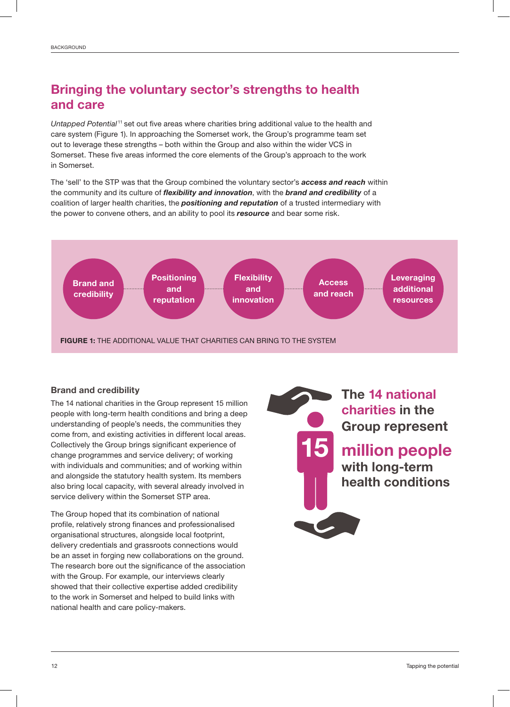## Bringing the voluntary sector's strengths to health and care

*Untapped Potential* <sup>11</sup> set out five areas where charities bring additional value to the health and care system (Figure 1). In approaching the Somerset work, the Group's programme team set out to leverage these strengths – both within the Group and also within the wider VCS in Somerset. These five areas informed the core elements of the Group's approach to the work in Somerset.

The 'sell' to the STP was that the Group combined the voluntary sector's *access and reach* within the community and its culture of *flexibility and innovation*, with the *brand and credibility* of a coalition of larger health charities, the *positioning and reputation* of a trusted intermediary with the power to convene others, and an ability to pool its *resource* and bear some risk.



#### Brand and credibility

The 14 national charities in the Group represent 15 million people with long-term health conditions and bring a deep understanding of people's needs, the communities they come from, and existing activities in different local areas. Collectively the Group brings significant experience of change programmes and service delivery; of working with individuals and communities; and of working within and alongside the statutory health system. Its members also bring local capacity, with several already involved in service delivery within the Somerset STP area.

The Group hoped that its combination of national profile, relatively strong finances and professionalised organisational structures, alongside local footprint, delivery credentials and grassroots connections would be an asset in forging new collaborations on the ground. The research bore out the significance of the association with the Group. For example, our interviews clearly showed that their collective expertise added credibility to the work in Somerset and helped to build links with national health and care policy-makers.

million people with long-term health conditions The 14 national charities in the Group represent 15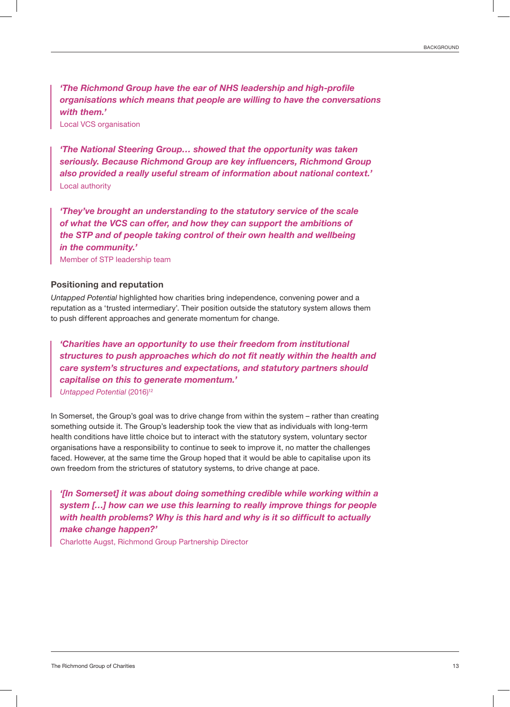*'The Richmond Group have the ear of NHS leadership and high-profile organisations which means that people are willing to have the conversations with them.'* 

Local VCS organisation

*'The National Steering Group… showed that the opportunity was taken seriously. Because Richmond Group are key influencers, Richmond Group also provided a really useful stream of information about national context.'* Local authority

*'They've brought an understanding to the statutory service of the scale of what the VCS can offer, and how they can support the ambitions of the STP and of people taking control of their own health and wellbeing in the community.'*

Member of STP leadership team

#### Positioning and reputation

*Untapped Potential* highlighted how charities bring independence, convening power and a reputation as a 'trusted intermediary'. Their position outside the statutory system allows them to push different approaches and generate momentum for change.

*'Charities have an opportunity to use their freedom from institutional structures to push approaches which do not fit neatly within the health and care system's structures and expectations, and statutory partners should capitalise on this to generate momentum.'* **Untapped Potential (2016)<sup>12</sup>** 

In Somerset, the Group's goal was to drive change from within the system – rather than creating something outside it. The Group's leadership took the view that as individuals with long-term health conditions have little choice but to interact with the statutory system, voluntary sector organisations have a responsibility to continue to seek to improve it, no matter the challenges faced. However, at the same time the Group hoped that it would be able to capitalise upon its own freedom from the strictures of statutory systems, to drive change at pace.

*'[In Somerset] it was about doing something credible while working within a system […] how can we use this learning to really improve things for people with health problems? Why is this hard and why is it so difficult to actually make change happen?'*

Charlotte Augst, Richmond Group Partnership Director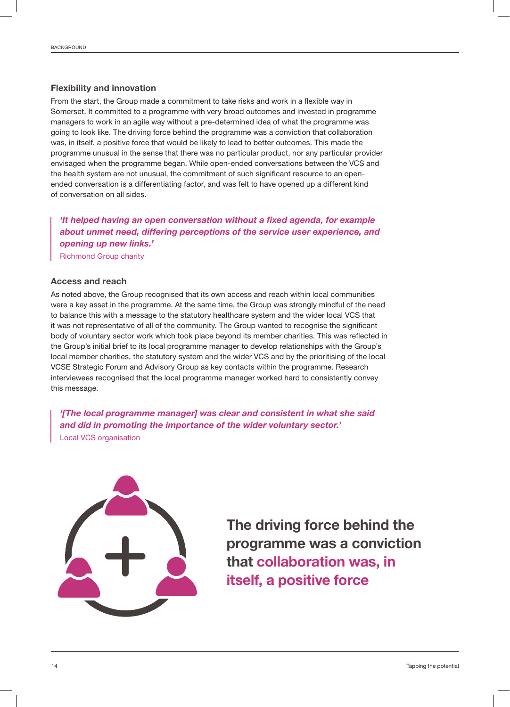#### Flexibility and innovation

From the start, the Group made a commitment to take risks and work in a flexible way in Somerset. It committed to a programme with very broad outcomes and invested in programme managers to work in an agile way without a pre-determined idea of what the programme was going to look like. The driving force behind the programme was a conviction that collaboration was, in itself, a positive force that would be likely to lead to better outcomes. This made the programme unusual in the sense that there was no particular product, nor any particular provider envisaged when the programme began. While open-ended conversations between the VCS and the health system are not unusual, the commitment of such significant resource to an openended conversation is a differentiating factor, and was felt to have opened up a different kind of conversation on all sides.

*'It helped having an open conversation without a fixed agenda, for example about unmet need, differing perceptions of the service user experience, and opening up new links.'* Richmond Group charity

#### Access and reach

As noted above, the Group recognised that its own access and reach within local communities were a key asset in the programme. At the same time, the Group was strongly mindful of the need to balance this with a message to the statutory healthcare system and the wider local VCS that it was not representative of all of the community. The Group wanted to recognise the significant body of voluntary sector work which took place beyond its member charities. This was reflected in the Group's initial brief to its local programme manager to develop relationships with the Group's local member charities, the statutory system and the wider VCS and by the prioritising of the local VCSE Strategic Forum and Advisory Group as key contacts within the programme. Research interviewees recognised that the local programme manager worked hard to consistently convey this message.

*'[The local programme manager] was clear and consistent in what she said and did in promoting the importance of the wider voluntary sector.'* Local VCS organisation



The driving force behind the programme was a conviction that collaboration was, in itself, a positive force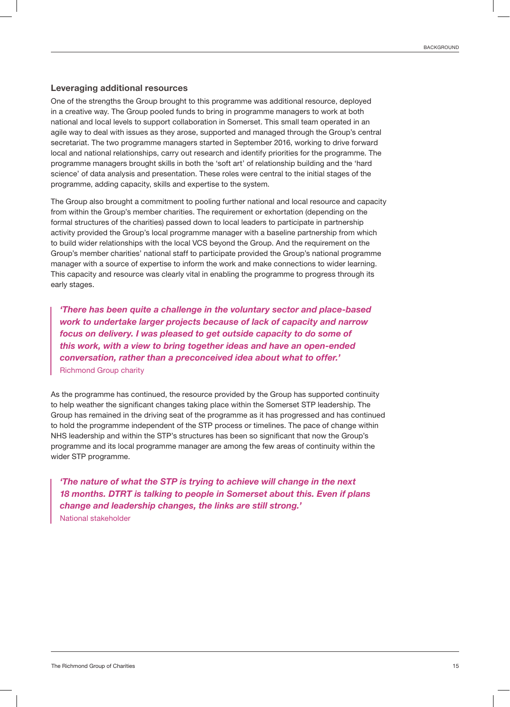#### Leveraging additional resources

One of the strengths the Group brought to this programme was additional resource, deployed in a creative way. The Group pooled funds to bring in programme managers to work at both national and local levels to support collaboration in Somerset. This small team operated in an agile way to deal with issues as they arose, supported and managed through the Group's central secretariat. The two programme managers started in September 2016, working to drive forward local and national relationships, carry out research and identify priorities for the programme. The programme managers brought skills in both the 'soft art' of relationship building and the 'hard science' of data analysis and presentation. These roles were central to the initial stages of the programme, adding capacity, skills and expertise to the system.

The Group also brought a commitment to pooling further national and local resource and capacity from within the Group's member charities. The requirement or exhortation (depending on the formal structures of the charities) passed down to local leaders to participate in partnership activity provided the Group's local programme manager with a baseline partnership from which to build wider relationships with the local VCS beyond the Group. And the requirement on the Group's member charities' national staff to participate provided the Group's national programme manager with a source of expertise to inform the work and make connections to wider learning. This capacity and resource was clearly vital in enabling the programme to progress through its early stages.

*'There has been quite a challenge in the voluntary sector and place-based work to undertake larger projects because of lack of capacity and narrow focus on delivery. I was pleased to get outside capacity to do some of this work, with a view to bring together ideas and have an open-ended conversation, rather than a preconceived idea about what to offer.'* Richmond Group charity

As the programme has continued, the resource provided by the Group has supported continuity to help weather the significant changes taking place within the Somerset STP leadership. The Group has remained in the driving seat of the programme as it has progressed and has continued to hold the programme independent of the STP process or timelines. The pace of change within NHS leadership and within the STP's structures has been so significant that now the Group's programme and its local programme manager are among the few areas of continuity within the wider STP programme.

*'The nature of what the STP is trying to achieve will change in the next 18 months. DTRT is talking to people in Somerset about this. Even if plans change and leadership changes, the links are still strong.'* National stakeholder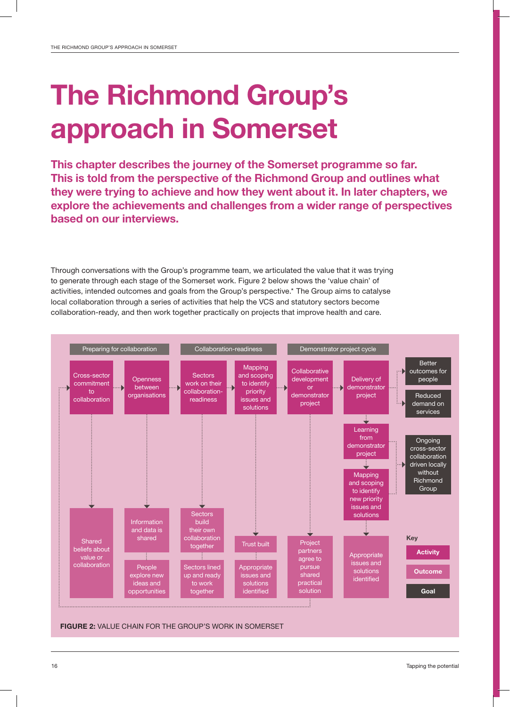## The Richmond Group's approach in Somerset

This chapter describes the journey of the Somerset programme so far. This is told from the perspective of the Richmond Group and outlines what they were trying to achieve and how they went about it. In later chapters, we explore the achievements and challenges from a wider range of perspectives based on our interviews.

Through conversations with the Group's programme team, we articulated the value that it was trying to generate through each stage of the Somerset work. Figure 2 below shows the 'value chain' of activities, intended outcomes and goals from the Group's perspective.\* The Group aims to catalyse local collaboration through a series of activities that help the VCS and statutory sectors become collaboration-ready, and then work together practically on projects that improve health and care.

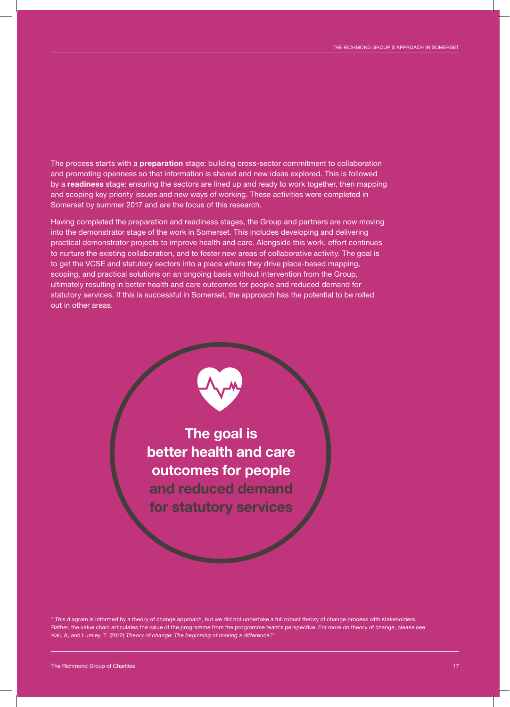The process starts with a preparation stage: building cross-sector commitment to collaboration and promoting openness so that information is shared and new ideas explored. This is followed by a readiness stage: ensuring the sectors are lined up and ready to work together, then mapping and scoping key priority issues and new ways of working. These activities were completed in Somerset by summer 2017 and are the focus of this research.

Having completed the preparation and readiness stages, the Group and partners are now moving into the demonstrator stage of the work in Somerset. This includes developing and delivering practical demonstrator projects to improve health and care. Alongside this work, effort continues to nurture the existing collaboration, and to foster new areas of collaborative activity. The goal is to get the VCSE and statutory sectors into a place where they drive place-based mapping, scoping, and practical solutions on an ongoing basis without intervention from the Group, ultimately resulting in better health and care outcomes for people and reduced demand for statutory services. If this is successful in Somerset, the approach has the potential to be rolled out in other areas.

> The goal is better health and care outcomes for people and reduced demand for statutory services

\* This diagram is informed by a theory of change approach, but we did not undertake a full robust theory of change process with stakeholders. Rather, the value chain articulates the value of the programme from the programme team's perspective. For more on theory of change, please see Kail, A, and Lumley, T. (2012) *Theory of change: The beginning of making a difference*. 13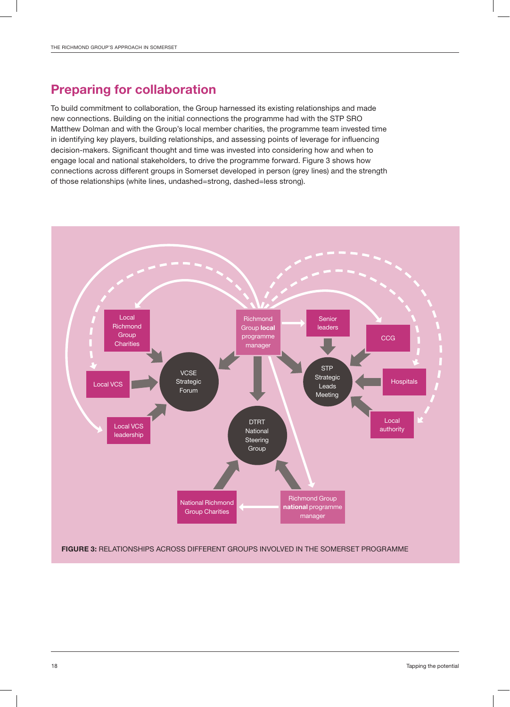## Preparing for collaboration

To build commitment to collaboration, the Group harnessed its existing relationships and made new connections. Building on the initial connections the programme had with the STP SRO Matthew Dolman and with the Group's local member charities, the programme team invested time in identifying key players, building relationships, and assessing points of leverage for influencing decision-makers. Significant thought and time was invested into considering how and when to engage local and national stakeholders, to drive the programme forward. Figure 3 shows how connections across different groups in Somerset developed in person (grey lines) and the strength of those relationships (white lines, undashed=strong, dashed=less strong).

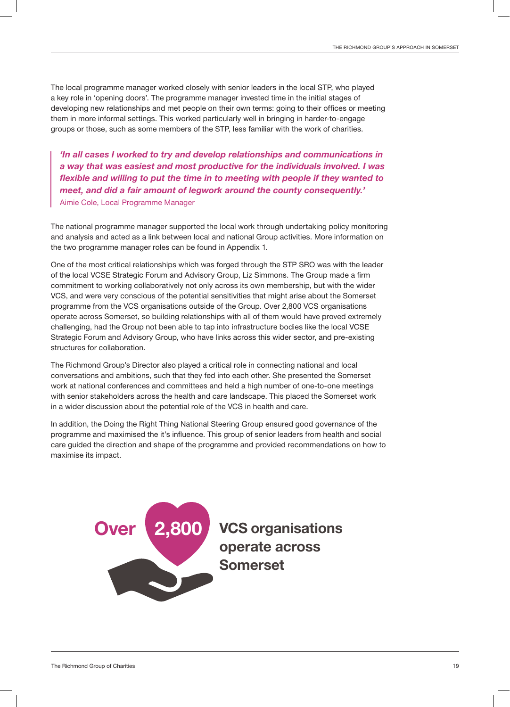The local programme manager worked closely with senior leaders in the local STP, who played a key role in 'opening doors'. The programme manager invested time in the initial stages of developing new relationships and met people on their own terms: going to their offices or meeting them in more informal settings. This worked particularly well in bringing in harder-to-engage groups or those, such as some members of the STP, less familiar with the work of charities.

*'In all cases I worked to try and develop relationships and communications in a way that was easiest and most productive for the individuals involved. I was flexible and willing to put the time in to meeting with people if they wanted to meet, and did a fair amount of legwork around the county consequently.'* Aimie Cole, Local Programme Manager

The national programme manager supported the local work through undertaking policy monitoring and analysis and acted as a link between local and national Group activities. More information on the two programme manager roles can be found in Appendix 1.

One of the most critical relationships which was forged through the STP SRO was with the leader of the local VCSE Strategic Forum and Advisory Group, Liz Simmons. The Group made a firm commitment to working collaboratively not only across its own membership, but with the wider VCS, and were very conscious of the potential sensitivities that might arise about the Somerset programme from the VCS organisations outside of the Group. Over 2,800 VCS organisations operate across Somerset, so building relationships with all of them would have proved extremely challenging, had the Group not been able to tap into infrastructure bodies like the local VCSE Strategic Forum and Advisory Group, who have links across this wider sector, and pre-existing structures for collaboration.

The Richmond Group's Director also played a critical role in connecting national and local conversations and ambitions, such that they fed into each other. She presented the Somerset work at national conferences and committees and held a high number of one-to-one meetings with senior stakeholders across the health and care landscape. This placed the Somerset work in a wider discussion about the potential role of the VCS in health and care.

In addition, the Doing the Right Thing National Steering Group ensured good governance of the programme and maximised the it's influence. This group of senior leaders from health and social care guided the direction and shape of the programme and provided recommendations on how to maximise its impact.



VCS organisations operate across Somerset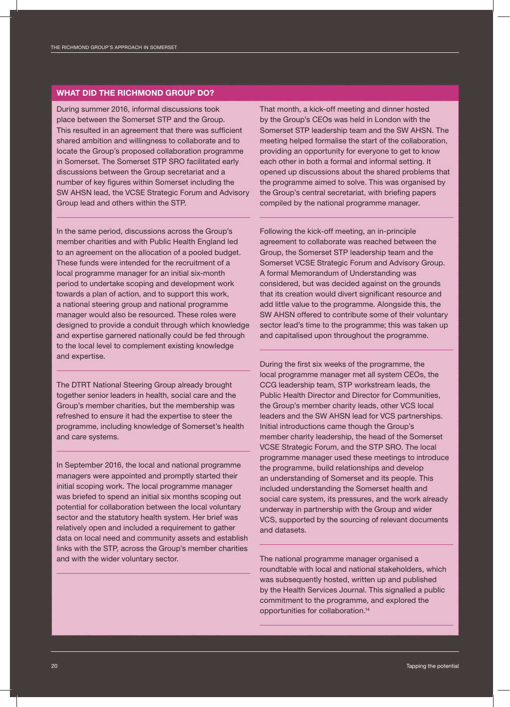#### WHAT DID THE RICHMOND GROUP DO?

During summer 2016, informal discussions took place between the Somerset STP and the Group. This resulted in an agreement that there was sufficient shared ambition and willingness to collaborate and to locate the Group's proposed collaboration programme in Somerset. The Somerset STP SRO facilitated early discussions between the Group secretariat and a number of key figures within Somerset including the SW AHSN lead, the VCSE Strategic Forum and Advisory Group lead and others within the STP.

In the same period, discussions across the Group's member charities and with Public Health England led to an agreement on the allocation of a pooled budget. These funds were intended for the recruitment of a local programme manager for an initial six-month period to undertake scoping and development work towards a plan of action, and to support this work, a national steering group and national programme manager would also be resourced. These roles were designed to provide a conduit through which knowledge and expertise garnered nationally could be fed through to the local level to complement existing knowledge and expertise.

The DTRT National Steering Group already brought together senior leaders in health, social care and the Group's member charities, but the membership was refreshed to ensure it had the expertise to steer the programme, including knowledge of Somerset's health and care systems.

In September 2016, the local and national programme managers were appointed and promptly started their initial scoping work. The local programme manager was briefed to spend an initial six months scoping out potential for collaboration between the local voluntary sector and the statutory health system. Her brief was relatively open and included a requirement to gather data on local need and community assets and establish links with the STP, across the Group's member charities and with the wider voluntary sector.

That month, a kick-off meeting and dinner hosted by the Group's CEOs was held in London with the Somerset STP leadership team and the SW AHSN. The meeting helped formalise the start of the collaboration, providing an opportunity for everyone to get to know each other in both a formal and informal setting. It opened up discussions about the shared problems that the programme aimed to solve. This was organised by the Group's central secretariat, with briefing papers compiled by the national programme manager.

Following the kick-off meeting, an in-principle agreement to collaborate was reached between the Group, the Somerset STP leadership team and the Somerset VCSE Strategic Forum and Advisory Group. A formal Memorandum of Understanding was considered, but was decided against on the grounds that its creation would divert significant resource and add little value to the programme. Alongside this, the SW AHSN offered to contribute some of their voluntary sector lead's time to the programme; this was taken up and capitalised upon throughout the programme.

During the first six weeks of the programme, the local programme manager met all system CEOs, the CCG leadership team, STP workstream leads, the Public Health Director and Director for Communities, the Group's member charity leads, other VCS local leaders and the SW AHSN lead for VCS partnerships. Initial introductions came though the Group's member charity leadership, the head of the Somerset VCSE Strategic Forum, and the STP SRO. The local programme manager used these meetings to introduce the programme, build relationships and develop an understanding of Somerset and its people. This included understanding the Somerset health and social care system, its pressures, and the work already underway in partnership with the Group and wider VCS, supported by the sourcing of relevant documents and datasets.

The national programme manager organised a roundtable with local and national stakeholders, which was subsequently hosted, written up and published by the Health Services Journal. This signalled a public commitment to the programme, and explored the opportunities for collaboration.14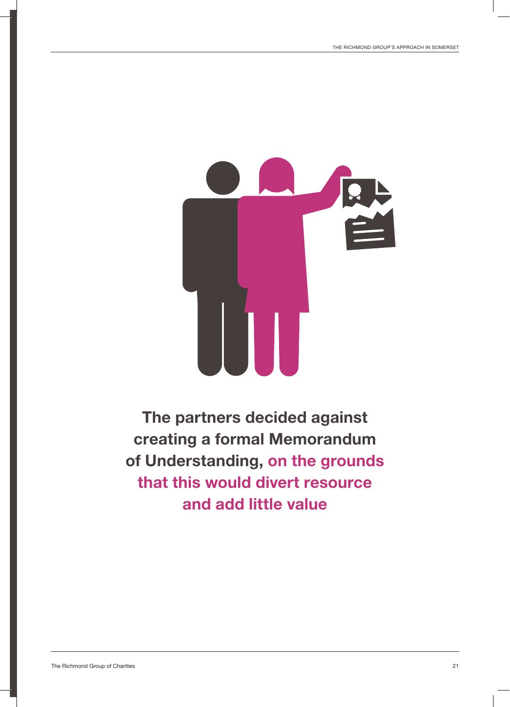

The partners decided against creating a formal Memorandum of Understanding, on the grounds that this would divert resource and add little value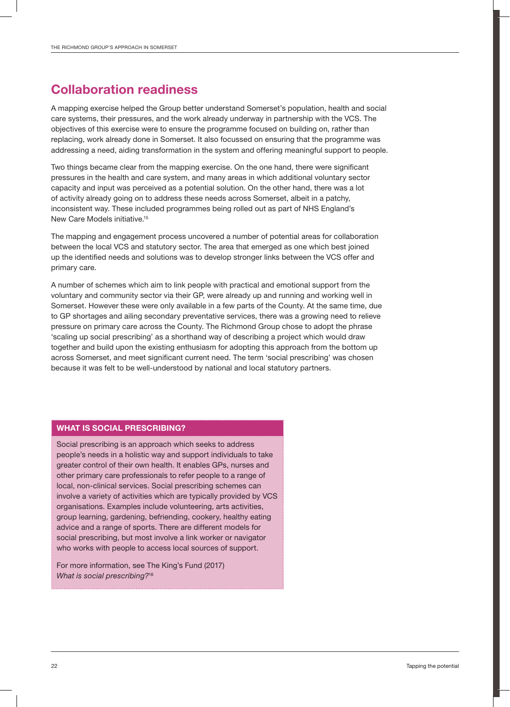### Collaboration readiness

A mapping exercise helped the Group better understand Somerset's population, health and social care systems, their pressures, and the work already underway in partnership with the VCS. The objectives of this exercise were to ensure the programme focused on building on, rather than replacing, work already done in Somerset. It also focussed on ensuring that the programme was addressing a need, aiding transformation in the system and offering meaningful support to people.

Two things became clear from the mapping exercise. On the one hand, there were significant pressures in the health and care system, and many areas in which additional voluntary sector capacity and input was perceived as a potential solution. On the other hand, there was a lot of activity already going on to address these needs across Somerset, albeit in a patchy, inconsistent way. These included programmes being rolled out as part of NHS England's New Care Models initiative.15

The mapping and engagement process uncovered a number of potential areas for collaboration between the local VCS and statutory sector. The area that emerged as one which best joined up the identified needs and solutions was to develop stronger links between the VCS offer and primary care.

A number of schemes which aim to link people with practical and emotional support from the voluntary and community sector via their GP, were already up and running and working well in Somerset. However these were only available in a few parts of the County. At the same time, due to GP shortages and ailing secondary preventative services, there was a growing need to relieve pressure on primary care across the County. The Richmond Group chose to adopt the phrase 'scaling up social prescribing' as a shorthand way of describing a project which would draw together and build upon the existing enthusiasm for adopting this approach from the bottom up across Somerset, and meet significant current need. The term 'social prescribing' was chosen because it was felt to be well-understood by national and local statutory partners.

#### WHAT IS SOCIAL PRESCRIBING?

Social prescribing is an approach which seeks to address people's needs in a holistic way and support individuals to take greater control of their own health. It enables GPs, nurses and other primary care professionals to refer people to a range of local, non-clinical services. Social prescribing schemes can involve a variety of activities which are typically provided by VCS organisations. Examples include volunteering, arts activities, group learning, gardening, befriending, cookery, healthy eating advice and a range of sports. There are different models for social prescribing, but most involve a link worker or navigator who works with people to access local sources of support.

For more information, see The King's Fund (2017) *What is social prescribing?*<sup>16</sup>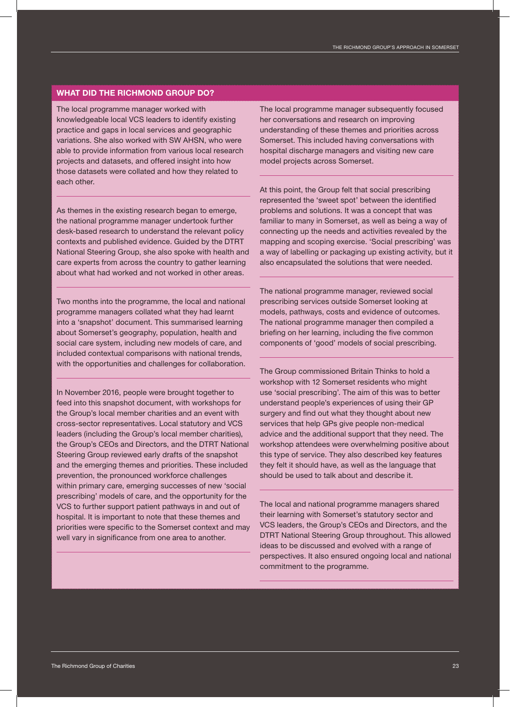#### WHAT DID THE RICHMOND GROUP DO?

The local programme manager worked with knowledgeable local VCS leaders to identify existing practice and gaps in local services and geographic variations. She also worked with SW AHSN, who were able to provide information from various local research projects and datasets, and offered insight into how those datasets were collated and how they related to each other.

As themes in the existing research began to emerge, the national programme manager undertook further desk-based research to understand the relevant policy contexts and published evidence. Guided by the DTRT National Steering Group, she also spoke with health and care experts from across the country to gather learning about what had worked and not worked in other areas.

Two months into the programme, the local and national programme managers collated what they had learnt into a 'snapshot' document. This summarised learning about Somerset's geography, population, health and social care system, including new models of care, and included contextual comparisons with national trends, with the opportunities and challenges for collaboration.

In November 2016, people were brought together to feed into this snapshot document, with workshops for the Group's local member charities and an event with cross-sector representatives. Local statutory and VCS leaders (including the Group's local member charities), the Group's CEOs and Directors, and the DTRT National Steering Group reviewed early drafts of the snapshot and the emerging themes and priorities. These included prevention, the pronounced workforce challenges within primary care, emerging successes of new 'social prescribing' models of care, and the opportunity for the VCS to further support patient pathways in and out of hospital. It is important to note that these themes and priorities were specific to the Somerset context and may well vary in significance from one area to another.

The local programme manager subsequently focused her conversations and research on improving understanding of these themes and priorities across Somerset. This included having conversations with hospital discharge managers and visiting new care model projects across Somerset.

At this point, the Group felt that social prescribing represented the 'sweet spot' between the identified problems and solutions. It was a concept that was familiar to many in Somerset, as well as being a way of connecting up the needs and activities revealed by the mapping and scoping exercise. 'Social prescribing' was a way of labelling or packaging up existing activity, but it also encapsulated the solutions that were needed.

The national programme manager, reviewed social prescribing services outside Somerset looking at models, pathways, costs and evidence of outcomes. The national programme manager then compiled a briefing on her learning, including the five common components of 'good' models of social prescribing.

The Group commissioned Britain Thinks to hold a workshop with 12 Somerset residents who might use 'social prescribing'. The aim of this was to better understand people's experiences of using their GP surgery and find out what they thought about new services that help GPs give people non-medical advice and the additional support that they need. The workshop attendees were overwhelming positive about this type of service. They also described key features they felt it should have, as well as the language that should be used to talk about and describe it.

The local and national programme managers shared their learning with Somerset's statutory sector and VCS leaders, the Group's CEOs and Directors, and the DTRT National Steering Group throughout. This allowed ideas to be discussed and evolved with a range of perspectives. It also ensured ongoing local and national commitment to the programme.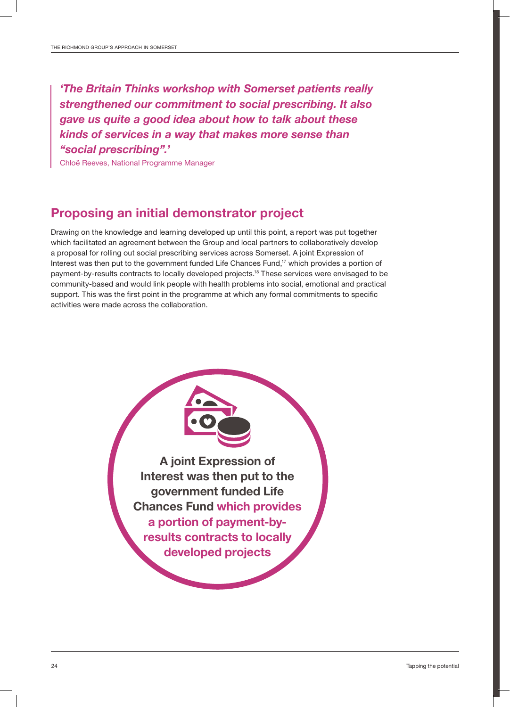*'The Britain Thinks workshop with Somerset patients really strengthened our commitment to social prescribing. It also gave us quite a good idea about how to talk about these kinds of services in a way that makes more sense than "social prescribing".'*

Chloë Reeves, National Programme Manager

### Proposing an initial demonstrator project

Drawing on the knowledge and learning developed up until this point, a report was put together which facilitated an agreement between the Group and local partners to collaboratively develop a proposal for rolling out social prescribing services across Somerset. A joint Expression of Interest was then put to the government funded Life Chances Fund,<sup>17</sup> which provides a portion of payment-by-results contracts to locally developed projects.18 These services were envisaged to be community-based and would link people with health problems into social, emotional and practical support. This was the first point in the programme at which any formal commitments to specific activities were made across the collaboration.

> A joint Expression of Interest was then put to the government funded Life Chances Fund which provides a portion of payment-byresults contracts to locally developed projects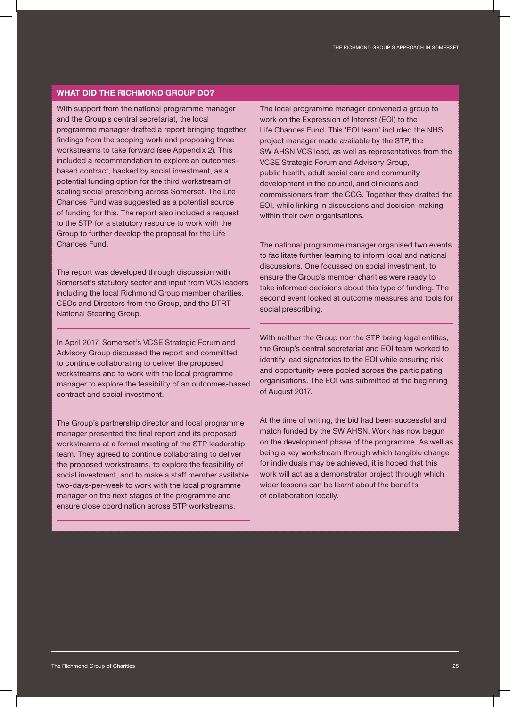#### WHAT DID THE RICHMOND GROUP DO?

With support from the national programme manager and the Group's central secretariat, the local programme manager drafted a report bringing together findings from the scoping work and proposing three workstreams to take forward (see Appendix 2). This included a recommendation to explore an outcomesbased contract, backed by social investment, as a potential funding option for the third workstream of scaling social prescribing across Somerset. The Life Chances Fund was suggested as a potential source of funding for this. The report also included a request to the STP for a statutory resource to work with the Group to further develop the proposal for the Life Chances Fund.

The report was developed through discussion with Somerset's statutory sector and input from VCS leaders including the local Richmond Group member charities, CEOs and Directors from the Group, and the DTRT National Steering Group.

In April 2017, Somerset's VCSE Strategic Forum and Advisory Group discussed the report and committed to continue collaborating to deliver the proposed workstreams and to work with the local programme manager to explore the feasibility of an outcomes-based contract and social investment.

The Group's partnership director and local programme manager presented the final report and its proposed workstreams at a formal meeting of the STP leadership team. They agreed to continue collaborating to deliver the proposed workstreams, to explore the feasibility of social investment, and to make a staff member available two-days-per-week to work with the local programme manager on the next stages of the programme and ensure close coordination across STP workstreams.

The local programme manager convened a group to work on the Expression of Interest (EOI) to the Life Chances Fund. This 'EOI team' included the NHS project manager made available by the STP, the SW AHSN VCS lead, as well as representatives from the VCSE Strategic Forum and Advisory Group, public health, adult social care and community development in the council, and clinicians and commissioners from the CCG. Together they drafted the EOI, while linking in discussions and decision-making within their own organisations.

The national programme manager organised two events to facilitate further learning to inform local and national discussions. One focussed on social investment, to ensure the Group's member charities were ready to take informed decisions about this type of funding. The second event looked at outcome measures and tools for social prescribing.

With neither the Group nor the STP being legal entities, the Group's central secretariat and EOI team worked to identify lead signatories to the EOI while ensuring risk and opportunity were pooled across the participating organisations. The EOI was submitted at the beginning of August 2017.

At the time of writing, the bid had been successful and match funded by the SW AHSN. Work has now begun on the development phase of the programme. As well as being a key workstream through which tangible change for individuals may be achieved, it is hoped that this work will act as a demonstrator project through which wider lessons can be learnt about the benefits of collaboration locally.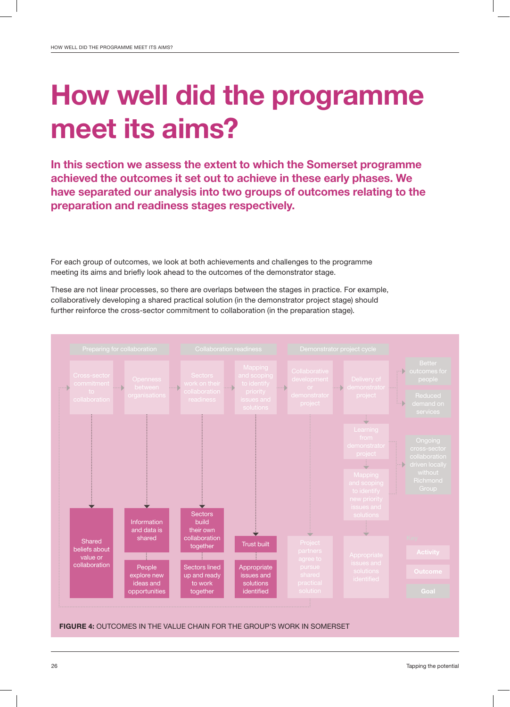## How well did the programme meet its aims?

In this section we assess the extent to which the Somerset programme achieved the outcomes it set out to achieve in these early phases. We have separated our analysis into two groups of outcomes relating to the preparation and readiness stages respectively.

For each group of outcomes, we look at both achievements and challenges to the programme meeting its aims and briefly look ahead to the outcomes of the demonstrator stage.

These are not linear processes, so there are overlaps between the stages in practice. For example, collaboratively developing a shared practical solution (in the demonstrator project stage) should further reinforce the cross-sector commitment to collaboration (in the preparation stage).

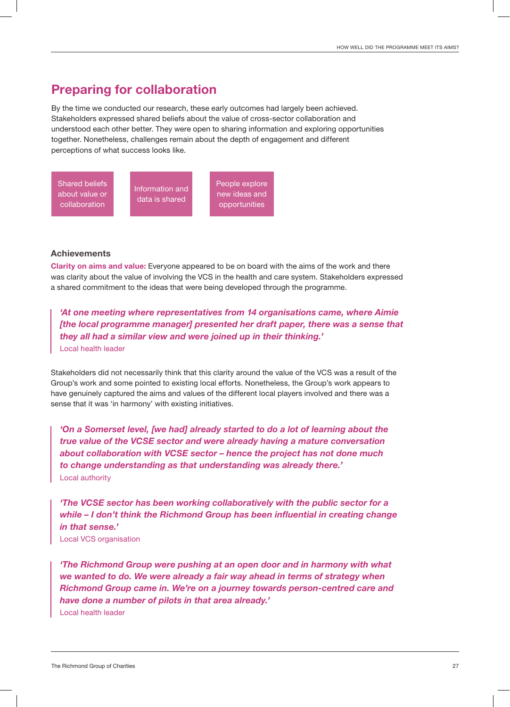### Preparing for collaboration

By the time we conducted our research, these early outcomes had largely been achieved. Stakeholders expressed shared beliefs about the value of cross-sector collaboration and understood each other better. They were open to sharing information and exploring opportunities together. Nonetheless, challenges remain about the depth of engagement and different perceptions of what success looks like.



#### **Achievements**

Clarity on aims and value: Everyone appeared to be on board with the aims of the work and there was clarity about the value of involving the VCS in the health and care system. Stakeholders expressed a shared commitment to the ideas that were being developed through the programme.

*'At one meeting where representatives from 14 organisations came, where Aimie [the local programme manager] presented her draft paper, there was a sense that they all had a similar view and were joined up in their thinking.'* Local health leader

Stakeholders did not necessarily think that this clarity around the value of the VCS was a result of the Group's work and some pointed to existing local efforts. Nonetheless, the Group's work appears to have genuinely captured the aims and values of the different local players involved and there was a sense that it was 'in harmony' with existing initiatives.

*'On a Somerset level, [we had] already started to do a lot of learning about the true value of the VCSE sector and were already having a mature conversation about collaboration with VCSE sector – hence the project has not done much to change understanding as that understanding was already there.'* Local authority

*'The VCSE sector has been working collaboratively with the public sector for a while – I don't think the Richmond Group has been influential in creating change in that sense.'*

Local VCS organisation

*'The Richmond Group were pushing at an open door and in harmony with what we wanted to do. We were already a fair way ahead in terms of strategy when Richmond Group came in. We're on a journey towards person-centred care and have done a number of pilots in that area already.'* Local health leader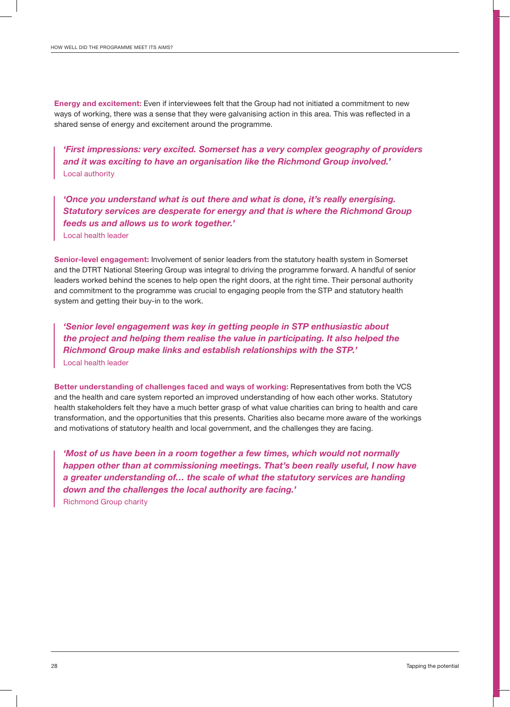Energy and excitement: Even if interviewees felt that the Group had not initiated a commitment to new ways of working, there was a sense that they were galvanising action in this area. This was reflected in a shared sense of energy and excitement around the programme.

*'First impressions: very excited. Somerset has a very complex geography of providers and it was exciting to have an organisation like the Richmond Group involved.'* Local authority

*'Once you understand what is out there and what is done, it's really energising. Statutory services are desperate for energy and that is where the Richmond Group feeds us and allows us to work together.'* Local health leader

Senior-level engagement: Involvement of senior leaders from the statutory health system in Somerset and the DTRT National Steering Group was integral to driving the programme forward. A handful of senior leaders worked behind the scenes to help open the right doors, at the right time. Their personal authority and commitment to the programme was crucial to engaging people from the STP and statutory health system and getting their buy-in to the work.

*'Senior level engagement was key in getting people in STP enthusiastic about the project and helping them realise the value in participating. It also helped the Richmond Group make links and establish relationships with the STP.'*  Local health leader

Better understanding of challenges faced and ways of working: Representatives from both the VCS and the health and care system reported an improved understanding of how each other works. Statutory health stakeholders felt they have a much better grasp of what value charities can bring to health and care transformation, and the opportunities that this presents. Charities also became more aware of the workings and motivations of statutory health and local government, and the challenges they are facing.

*'Most of us have been in a room together a few times, which would not normally happen other than at commissioning meetings. That's been really useful, I now have a greater understanding of… the scale of what the statutory services are handing down and the challenges the local authority are facing.'* Richmond Group charity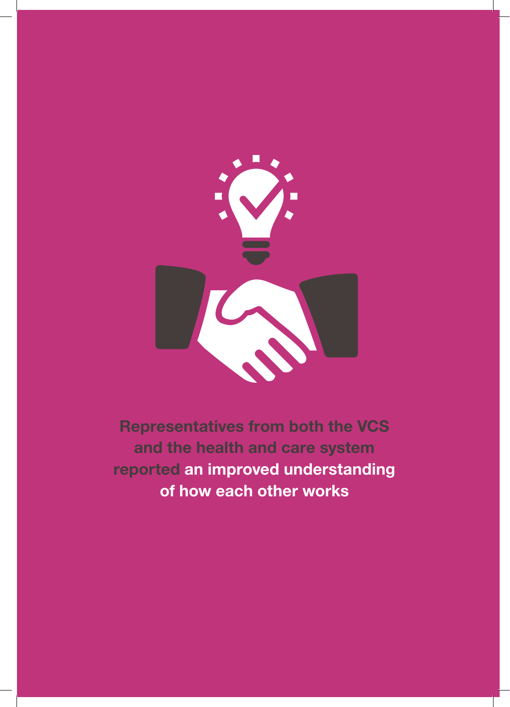

Representatives from both the VCS and the health and care system reported an improved understanding of how each other works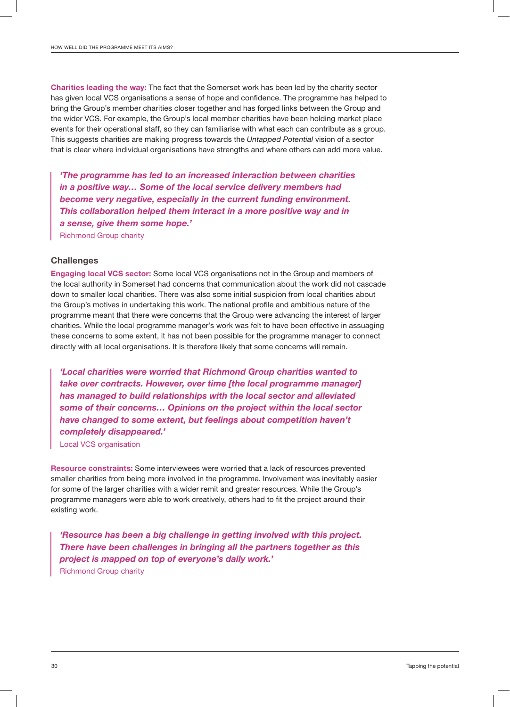Charities leading the way: The fact that the Somerset work has been led by the charity sector has given local VCS organisations a sense of hope and confidence. The programme has helped to bring the Group's member charities closer together and has forged links between the Group and the wider VCS. For example, the Group's local member charities have been holding market place events for their operational staff, so they can familiarise with what each can contribute as a group. This suggests charities are making progress towards the *Untapped Potential* vision of a sector that is clear where individual organisations have strengths and where others can add more value.

*'The programme has led to an increased interaction between charities in a positive way… Some of the local service delivery members had become very negative, especially in the current funding environment. This collaboration helped them interact in a more positive way and in a sense, give them some hope.'*

Richmond Group charity

#### **Challenges**

Engaging local VCS sector: Some local VCS organisations not in the Group and members of the local authority in Somerset had concerns that communication about the work did not cascade down to smaller local charities. There was also some initial suspicion from local charities about the Group's motives in undertaking this work. The national profile and ambitious nature of the programme meant that there were concerns that the Group were advancing the interest of larger charities. While the local programme manager's work was felt to have been effective in assuaging these concerns to some extent, it has not been possible for the programme manager to connect directly with all local organisations. It is therefore likely that some concerns will remain.

*'Local charities were worried that Richmond Group charities wanted to take over contracts. However, over time [the local programme manager] has managed to build relationships with the local sector and alleviated some of their concerns… Opinions on the project within the local sector have changed to some extent, but feelings about competition haven't completely disappeared.'*

Local VCS organisation

Resource constraints: Some interviewees were worried that a lack of resources prevented smaller charities from being more involved in the programme. Involvement was inevitably easier for some of the larger charities with a wider remit and greater resources. While the Group's programme managers were able to work creatively, others had to fit the project around their existing work.

*'Resource has been a big challenge in getting involved with this project. There have been challenges in bringing all the partners together as this project is mapped on top of everyone's daily work.'* Richmond Group charity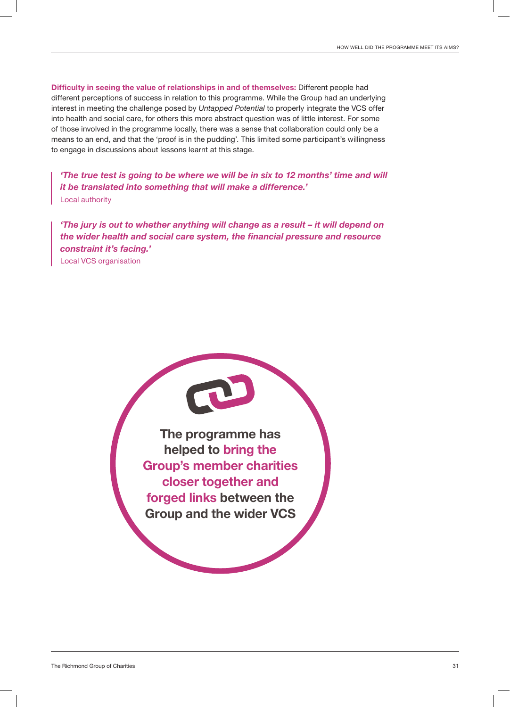Difficulty in seeing the value of relationships in and of themselves: Different people had different perceptions of success in relation to this programme. While the Group had an underlying interest in meeting the challenge posed by *Untapped Potential* to properly integrate the VCS offer into health and social care, for others this more abstract question was of little interest. For some of those involved in the programme locally, there was a sense that collaboration could only be a means to an end, and that the 'proof is in the pudding'. This limited some participant's willingness to engage in discussions about lessons learnt at this stage.

*'The true test is going to be where we will be in six to 12 months' time and will it be translated into something that will make a difference.'* Local authority

*'The jury is out to whether anything will change as a result – it will depend on the wider health and social care system, the financial pressure and resource constraint it's facing.'* Local VCS organisation

> The programme has helped to bring the Group's member charities closer together and forged links between the Group and the wider VCS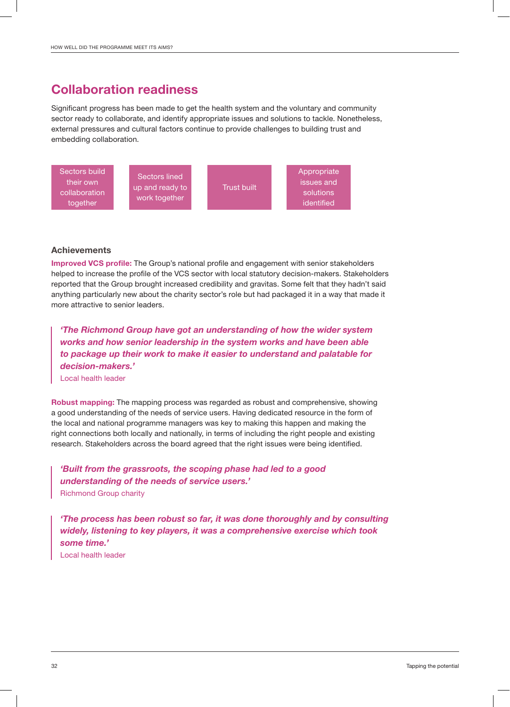### Collaboration readiness

Significant progress has been made to get the health system and the voluntary and community sector ready to collaborate, and identify appropriate issues and solutions to tackle. Nonetheless, external pressures and cultural factors continue to provide challenges to building trust and embedding collaboration.



#### **Achievements**

Improved VCS profile: The Group's national profile and engagement with senior stakeholders helped to increase the profile of the VCS sector with local statutory decision-makers. Stakeholders reported that the Group brought increased credibility and gravitas. Some felt that they hadn't said anything particularly new about the charity sector's role but had packaged it in a way that made it more attractive to senior leaders.

*'The Richmond Group have got an understanding of how the wider system works and how senior leadership in the system works and have been able to package up their work to make it easier to understand and palatable for decision-makers.'*

Local health leader

Robust mapping: The mapping process was regarded as robust and comprehensive, showing a good understanding of the needs of service users. Having dedicated resource in the form of the local and national programme managers was key to making this happen and making the right connections both locally and nationally, in terms of including the right people and existing research. Stakeholders across the board agreed that the right issues were being identified.

*'Built from the grassroots, the scoping phase had led to a good understanding of the needs of service users.'* Richmond Group charity

*'The process has been robust so far, it was done thoroughly and by consulting widely, listening to key players, it was a comprehensive exercise which took some time.'*

Local health leader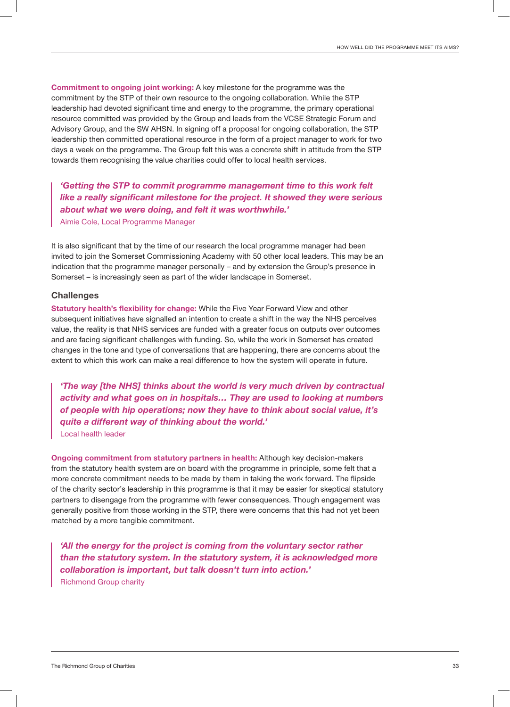Commitment to ongoing joint working: A key milestone for the programme was the commitment by the STP of their own resource to the ongoing collaboration. While the STP leadership had devoted significant time and energy to the programme, the primary operational resource committed was provided by the Group and leads from the VCSE Strategic Forum and Advisory Group, and the SW AHSN. In signing off a proposal for ongoing collaboration, the STP leadership then committed operational resource in the form of a project manager to work for two days a week on the programme. The Group felt this was a concrete shift in attitude from the STP towards them recognising the value charities could offer to local health services.

*'Getting the STP to commit programme management time to this work felt like a really significant milestone for the project. It showed they were serious about what we were doing, and felt it was worthwhile.'*

Aimie Cole, Local Programme Manager

It is also significant that by the time of our research the local programme manager had been invited to join the Somerset Commissioning Academy with 50 other local leaders. This may be an indication that the programme manager personally – and by extension the Group's presence in Somerset – is increasingly seen as part of the wider landscape in Somerset.

#### **Challenges**

Statutory health's flexibility for change: While the Five Year Forward View and other subsequent initiatives have signalled an intention to create a shift in the way the NHS perceives value, the reality is that NHS services are funded with a greater focus on outputs over outcomes and are facing significant challenges with funding. So, while the work in Somerset has created changes in the tone and type of conversations that are happening, there are concerns about the extent to which this work can make a real difference to how the system will operate in future.

*'The way [the NHS] thinks about the world is very much driven by contractual activity and what goes on in hospitals… They are used to looking at numbers of people with hip operations; now they have to think about social value, it's quite a different way of thinking about the world.'*

Local health leader

Ongoing commitment from statutory partners in health: Although key decision-makers from the statutory health system are on board with the programme in principle, some felt that a more concrete commitment needs to be made by them in taking the work forward. The flipside of the charity sector's leadership in this programme is that it may be easier for skeptical statutory partners to disengage from the programme with fewer consequences. Though engagement was generally positive from those working in the STP, there were concerns that this had not yet been matched by a more tangible commitment.

*'All the energy for the project is coming from the voluntary sector rather than the statutory system. In the statutory system, it is acknowledged more collaboration is important, but talk doesn't turn into action.'* Richmond Group charity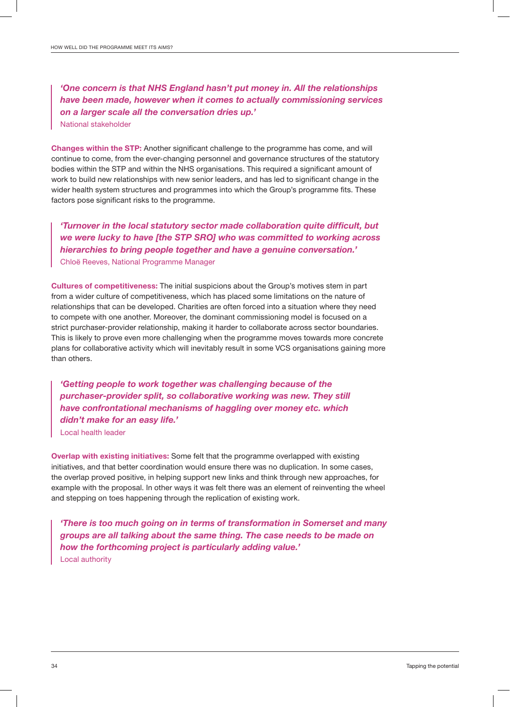*'One concern is that NHS England hasn't put money in. All the relationships have been made, however when it comes to actually commissioning services on a larger scale all the conversation dries up.'* National stakeholder

Changes within the STP: Another significant challenge to the programme has come, and will continue to come, from the ever-changing personnel and governance structures of the statutory bodies within the STP and within the NHS organisations. This required a significant amount of work to build new relationships with new senior leaders, and has led to significant change in the wider health system structures and programmes into which the Group's programme fits. These factors pose significant risks to the programme.

*'Turnover in the local statutory sector made collaboration quite difficult, but we were lucky to have [the STP SRO] who was committed to working across hierarchies to bring people together and have a genuine conversation.'* Chloë Reeves, National Programme Manager

Cultures of competitiveness: The initial suspicions about the Group's motives stem in part from a wider culture of competitiveness, which has placed some limitations on the nature of relationships that can be developed. Charities are often forced into a situation where they need to compete with one another. Moreover, the dominant commissioning model is focused on a strict purchaser-provider relationship, making it harder to collaborate across sector boundaries. This is likely to prove even more challenging when the programme moves towards more concrete plans for collaborative activity which will inevitably result in some VCS organisations gaining more than others.

*'Getting people to work together was challenging because of the purchaser-provider split, so collaborative working was new. They still have confrontational mechanisms of haggling over money etc. which didn't make for an easy life.'*

Local health leader

Overlap with existing initiatives: Some felt that the programme overlapped with existing initiatives, and that better coordination would ensure there was no duplication. In some cases, the overlap proved positive, in helping support new links and think through new approaches, for example with the proposal. In other ways it was felt there was an element of reinventing the wheel and stepping on toes happening through the replication of existing work.

*'There is too much going on in terms of transformation in Somerset and many groups are all talking about the same thing. The case needs to be made on how the forthcoming project is particularly adding value.'* Local authority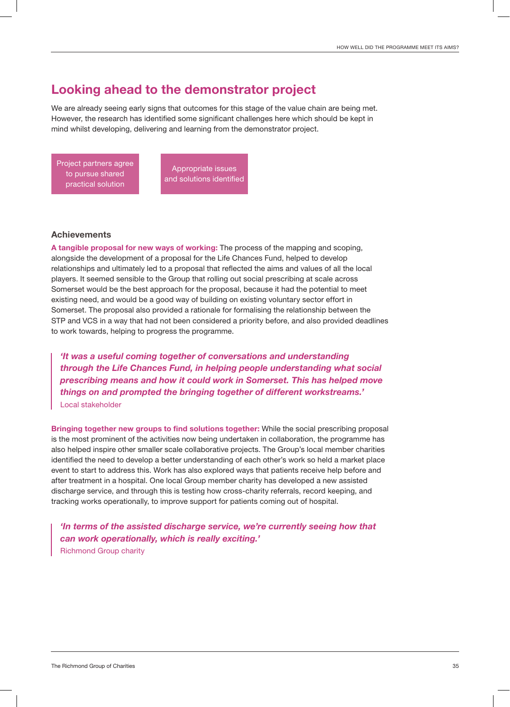### Looking ahead to the demonstrator project

We are already seeing early signs that outcomes for this stage of the value chain are being met. However, the research has identified some significant challenges here which should be kept in mind whilst developing, delivering and learning from the demonstrator project.

Project partners agree to pursue shared practical solution

Appropriate issues and solutions identified

#### **Achievements**

A tangible proposal for new ways of working: The process of the mapping and scoping, alongside the development of a proposal for the Life Chances Fund, helped to develop relationships and ultimately led to a proposal that reflected the aims and values of all the local players. It seemed sensible to the Group that rolling out social prescribing at scale across Somerset would be the best approach for the proposal, because it had the potential to meet existing need, and would be a good way of building on existing voluntary sector effort in Somerset. The proposal also provided a rationale for formalising the relationship between the STP and VCS in a way that had not been considered a priority before, and also provided deadlines to work towards, helping to progress the programme.

*'It was a useful coming together of conversations and understanding through the Life Chances Fund, in helping people understanding what social prescribing means and how it could work in Somerset. This has helped move things on and prompted the bringing together of different workstreams.'* Local stakeholder

Bringing together new groups to find solutions together: While the social prescribing proposal is the most prominent of the activities now being undertaken in collaboration, the programme has also helped inspire other smaller scale collaborative projects. The Group's local member charities identified the need to develop a better understanding of each other's work so held a market place event to start to address this. Work has also explored ways that patients receive help before and after treatment in a hospital. One local Group member charity has developed a new assisted discharge service, and through this is testing how cross-charity referrals, record keeping, and tracking works operationally, to improve support for patients coming out of hospital.

*'In terms of the assisted discharge service, we're currently seeing how that can work operationally, which is really exciting.'* Richmond Group charity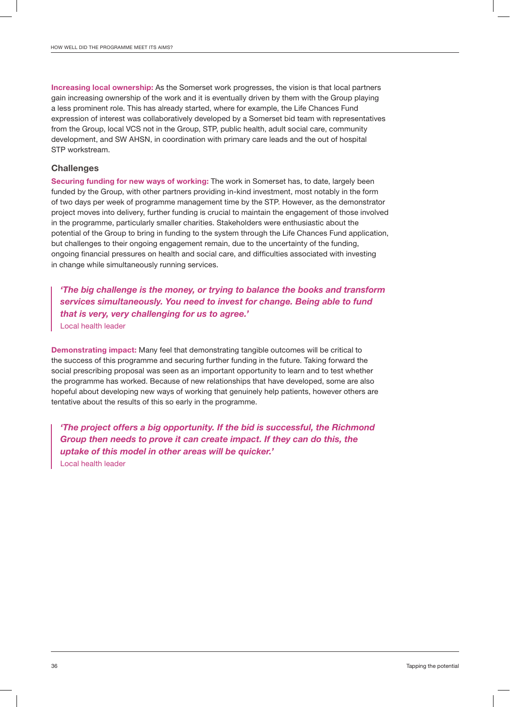Increasing local ownership: As the Somerset work progresses, the vision is that local partners gain increasing ownership of the work and it is eventually driven by them with the Group playing a less prominent role. This has already started, where for example, the Life Chances Fund expression of interest was collaboratively developed by a Somerset bid team with representatives from the Group, local VCS not in the Group, STP, public health, adult social care, community development, and SW AHSN, in coordination with primary care leads and the out of hospital STP workstream.

#### **Challenges**

Securing funding for new ways of working: The work in Somerset has, to date, largely been funded by the Group, with other partners providing in-kind investment, most notably in the form of two days per week of programme management time by the STP. However, as the demonstrator project moves into delivery, further funding is crucial to maintain the engagement of those involved in the programme, particularly smaller charities. Stakeholders were enthusiastic about the potential of the Group to bring in funding to the system through the Life Chances Fund application, but challenges to their ongoing engagement remain, due to the uncertainty of the funding, ongoing financial pressures on health and social care, and difficulties associated with investing in change while simultaneously running services.

*'The big challenge is the money, or trying to balance the books and transform services simultaneously. You need to invest for change. Being able to fund that is very, very challenging for us to agree.'* Local health leader

Demonstrating impact: Many feel that demonstrating tangible outcomes will be critical to the success of this programme and securing further funding in the future. Taking forward the social prescribing proposal was seen as an important opportunity to learn and to test whether the programme has worked. Because of new relationships that have developed, some are also hopeful about developing new ways of working that genuinely help patients, however others are tentative about the results of this so early in the programme.

*'The project offers a big opportunity. If the bid is successful, the Richmond Group then needs to prove it can create impact. If they can do this, the uptake of this model in other areas will be quicker.'* Local health leader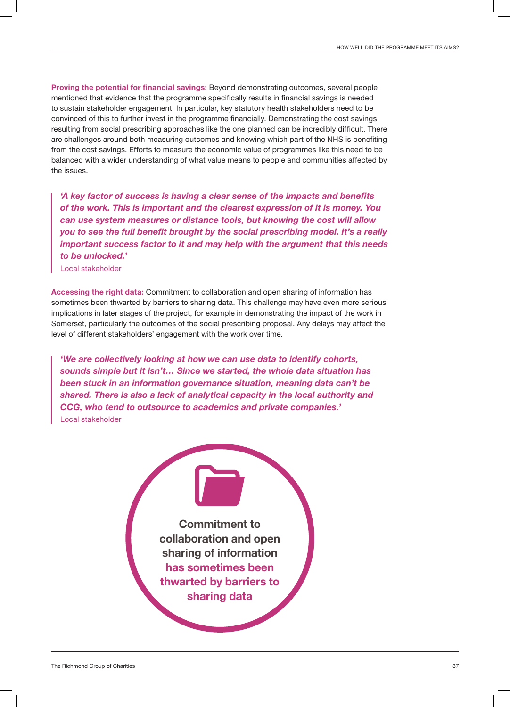Proving the potential for financial savings: Beyond demonstrating outcomes, several people mentioned that evidence that the programme specifically results in financial savings is needed to sustain stakeholder engagement. In particular, key statutory health stakeholders need to be convinced of this to further invest in the programme financially. Demonstrating the cost savings resulting from social prescribing approaches like the one planned can be incredibly difficult. There are challenges around both measuring outcomes and knowing which part of the NHS is benefiting from the cost savings. Efforts to measure the economic value of programmes like this need to be balanced with a wider understanding of what value means to people and communities affected by the issues.

*'A key factor of success is having a clear sense of the impacts and benefits of the work. This is important and the clearest expression of it is money. You can use system measures or distance tools, but knowing the cost will allow you to see the full benefit brought by the social prescribing model. It's a really important success factor to it and may help with the argument that this needs to be unlocked.'*

Local stakeholder

Accessing the right data: Commitment to collaboration and open sharing of information has sometimes been thwarted by barriers to sharing data. This challenge may have even more serious implications in later stages of the project, for example in demonstrating the impact of the work in Somerset, particularly the outcomes of the social prescribing proposal. Any delays may affect the level of different stakeholders' engagement with the work over time.

*'We are collectively looking at how we can use data to identify cohorts, sounds simple but it isn't… Since we started, the whole data situation has been stuck in an information governance situation, meaning data can't be shared. There is also a lack of analytical capacity in the local authority and CCG, who tend to outsource to academics and private companies.'* Local stakeholder

> Commitment to collaboration and open sharing of information has sometimes been thwarted by barriers to sharing data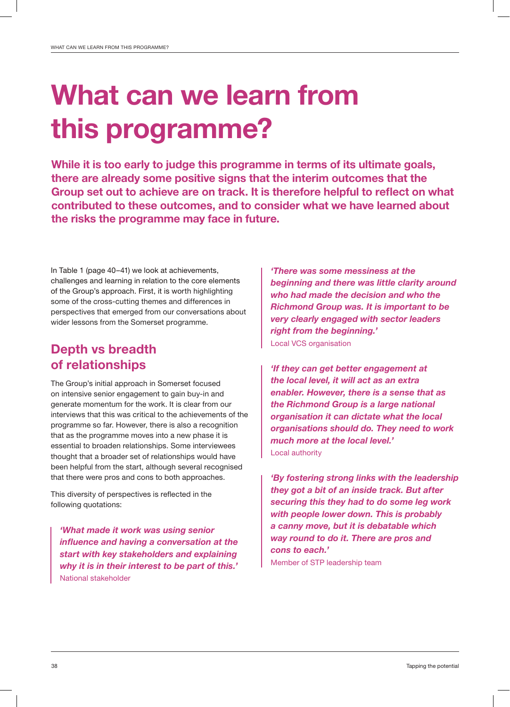## What can we learn from this programme?

While it is too early to judge this programme in terms of its ultimate goals, there are already some positive signs that the interim outcomes that the Group set out to achieve are on track. It is therefore helpful to reflect on what contributed to these outcomes, and to consider what we have learned about the risks the programme may face in future.

In Table 1 (page 40–41) we look at achievements, challenges and learning in relation to the core elements of the Group's approach. First, it is worth highlighting some of the cross-cutting themes and differences in perspectives that emerged from our conversations about wider lessons from the Somerset programme.

## Depth vs breadth of relationships

The Group's initial approach in Somerset focused on intensive senior engagement to gain buy-in and generate momentum for the work. It is clear from our interviews that this was critical to the achievements of the programme so far. However, there is also a recognition that as the programme moves into a new phase it is essential to broaden relationships. Some interviewees thought that a broader set of relationships would have been helpful from the start, although several recognised that there were pros and cons to both approaches.

This diversity of perspectives is reflected in the following quotations:

*'What made it work was using senior influence and having a conversation at the start with key stakeholders and explaining why it is in their interest to be part of this.'* National stakeholder

*'There was some messiness at the beginning and there was little clarity around who had made the decision and who the Richmond Group was. It is important to be very clearly engaged with sector leaders right from the beginning.'* Local VCS organisation

*'If they can get better engagement at the local level, it will act as an extra enabler. However, there is a sense that as the Richmond Group is a large national organisation it can dictate what the local organisations should do. They need to work much more at the local level.'* Local authority

*'By fostering strong links with the leadership they got a bit of an inside track. But after securing this they had to do some leg work with people lower down. This is probably a canny move, but it is debatable which way round to do it. There are pros and cons to each.'* Member of STP leadership team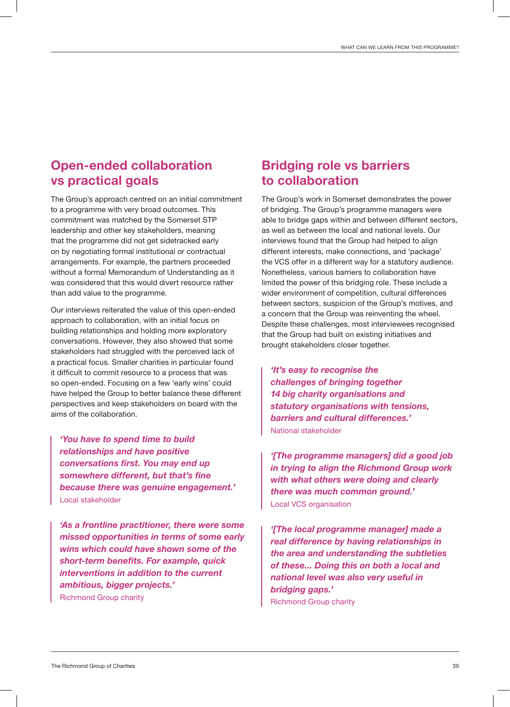## Open-ended collaboration vs practical goals

The Group's approach centred on an initial commitment to a programme with very broad outcomes. This commitment was matched by the Somerset STP leadership and other key stakeholders, meaning that the programme did not get sidetracked early on by negotiating formal institutional or contractual arrangements. For example, the partners proceeded without a formal Memorandum of Understanding as it was considered that this would divert resource rather than add value to the programme.

Our interviews reiterated the value of this open-ended approach to collaboration, with an initial focus on building relationships and holding more exploratory conversations. However, they also showed that some stakeholders had struggled with the perceived lack of a practical focus. Smaller charities in particular found it difficult to commit resource to a process that was so open-ended. Focusing on a few 'early wins' could have helped the Group to better balance these different perspectives and keep stakeholders on board with the aims of the collaboration.

*'You have to spend time to build relationships and have positive conversations first. You may end up somewhere different, but that's fine because there was genuine engagement.'* Local stakeholder

*'As a frontline practitioner, there were some missed opportunities in terms of some early wins which could have shown some of the short-term benefits. For example, quick interventions in addition to the current ambitious, bigger projects.'* Richmond Group charity

## Bridging role vs barriers to collaboration

The Group's work in Somerset demonstrates the power of bridging. The Group's programme managers were able to bridge gaps within and between different sectors, as well as between the local and national levels. Our interviews found that the Group had helped to align different interests, make connections, and 'package' the VCS offer in a different way for a statutory audience. Nonetheless, various barriers to collaboration have limited the power of this bridging role. These include a wider environment of competition, cultural differences between sectors, suspicion of the Group's motives, and a concern that the Group was reinventing the wheel. Despite these challenges, most interviewees recognised that the Group had built on existing initiatives and brought stakeholders closer together.

*'It's easy to recognise the challenges of bringing together 14 big charity organisations and statutory organisations with tensions, barriers and cultural differences.'* National stakeholder

*'[The programme managers] did a good job in trying to align the Richmond Group work with what others were doing and clearly there was much common ground.'* Local VCS organisation

*'[The local programme manager] made a real difference by having relationships in the area and understanding the subtleties of these... Doing this on both a local and national level was also very useful in bridging gaps.'* Richmond Group charity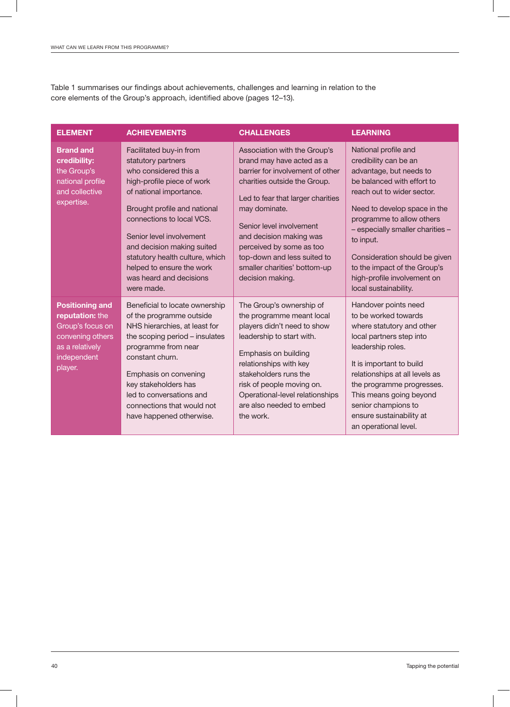Table 1 summarises our findings about achievements, challenges and learning in relation to the core elements of the Group's approach, identified above (pages 12–13).

| <b>ELEMENT</b>                                                                                                                 | <b>ACHIEVEMENTS</b>                                                                                                                                                                                                                                                                                                                                             | <b>CHALLENGES</b>                                                                                                                                                                                                                                                                                                                                         | <b>LEARNING</b>                                                                                                                                                                                                                                                                                                                                                             |
|--------------------------------------------------------------------------------------------------------------------------------|-----------------------------------------------------------------------------------------------------------------------------------------------------------------------------------------------------------------------------------------------------------------------------------------------------------------------------------------------------------------|-----------------------------------------------------------------------------------------------------------------------------------------------------------------------------------------------------------------------------------------------------------------------------------------------------------------------------------------------------------|-----------------------------------------------------------------------------------------------------------------------------------------------------------------------------------------------------------------------------------------------------------------------------------------------------------------------------------------------------------------------------|
| <b>Brand and</b><br>credibility:<br>the Group's<br>national profile<br>and collective<br>expertise.                            | Facilitated buy-in from<br>statutory partners<br>who considered this a<br>high-profile piece of work<br>of national importance.<br>Brought profile and national<br>connections to local VCS.<br>Senior level involvement<br>and decision making suited<br>statutory health culture, which<br>helped to ensure the work<br>was heard and decisions<br>were made. | Association with the Group's<br>brand may have acted as a<br>barrier for involvement of other<br>charities outside the Group.<br>Led to fear that larger charities<br>may dominate.<br>Senior level involvement<br>and decision making was<br>perceived by some as too<br>top-down and less suited to<br>smaller charities' bottom-up<br>decision making. | National profile and<br>credibility can be an<br>advantage, but needs to<br>be balanced with effort to<br>reach out to wider sector.<br>Need to develop space in the<br>programme to allow others<br>- especially smaller charities -<br>to input.<br>Consideration should be given<br>to the impact of the Group's<br>high-profile involvement on<br>local sustainability. |
| <b>Positioning and</b><br>reputation: the<br>Group's focus on<br>convening others<br>as a relatively<br>independent<br>player. | Beneficial to locate ownership<br>of the programme outside<br>NHS hierarchies, at least for<br>the scoping period - insulates<br>programme from near<br>constant churn.<br>Emphasis on convening<br>key stakeholders has<br>led to conversations and<br>connections that would not<br>have happened otherwise.                                                  | The Group's ownership of<br>the programme meant local<br>players didn't need to show<br>leadership to start with.<br>Emphasis on building<br>relationships with key<br>stakeholders runs the<br>risk of people moving on.<br>Operational-level relationships<br>are also needed to embed<br>the work.                                                     | Handover points need<br>to be worked towards<br>where statutory and other<br>local partners step into<br>leadership roles.<br>It is important to build<br>relationships at all levels as<br>the programme progresses.<br>This means going beyond<br>senior champions to<br>ensure sustainability at<br>an operational level.                                                |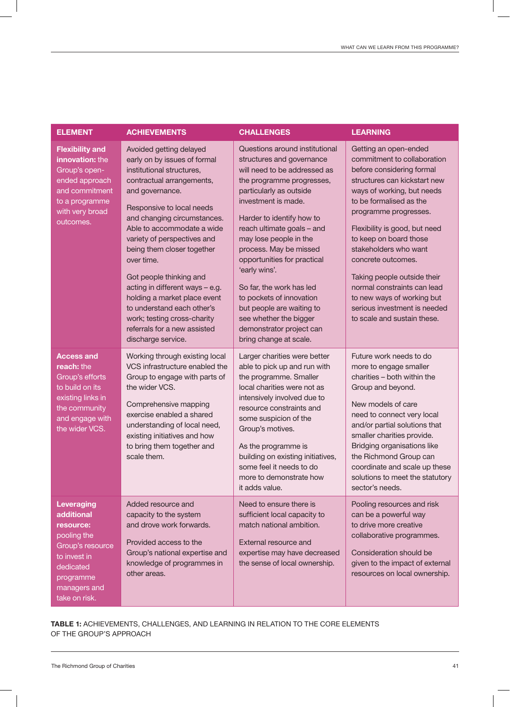| <b>ELEMENT</b>                                                                                                                                             | <b>ACHIEVEMENTS</b>                                                                                                                                                                                                                                                                                                                                                                                                                                                                                                        | <b>CHALLENGES</b>                                                                                                                                                                                                                                                                                                                                                                                                                                                                                              | <b>LEARNING</b>                                                                                                                                                                                                                                                                                                                                                                                                                                                          |
|------------------------------------------------------------------------------------------------------------------------------------------------------------|----------------------------------------------------------------------------------------------------------------------------------------------------------------------------------------------------------------------------------------------------------------------------------------------------------------------------------------------------------------------------------------------------------------------------------------------------------------------------------------------------------------------------|----------------------------------------------------------------------------------------------------------------------------------------------------------------------------------------------------------------------------------------------------------------------------------------------------------------------------------------------------------------------------------------------------------------------------------------------------------------------------------------------------------------|--------------------------------------------------------------------------------------------------------------------------------------------------------------------------------------------------------------------------------------------------------------------------------------------------------------------------------------------------------------------------------------------------------------------------------------------------------------------------|
| <b>Flexibility and</b><br>innovation: the<br>Group's open-<br>ended approach<br>and commitment<br>to a programme<br>with very broad<br>outcomes.           | Avoided getting delayed<br>early on by issues of formal<br>institutional structures,<br>contractual arrangements,<br>and governance.<br>Responsive to local needs<br>and changing circumstances.<br>Able to accommodate a wide<br>variety of perspectives and<br>being them closer together<br>over time.<br>Got people thinking and<br>acting in different ways - e.g.<br>holding a market place event<br>to understand each other's<br>work; testing cross-charity<br>referrals for a new assisted<br>discharge service. | Questions around institutional<br>structures and governance<br>will need to be addressed as<br>the programme progresses,<br>particularly as outside<br>investment is made.<br>Harder to identify how to<br>reach ultimate goals - and<br>may lose people in the<br>process. May be missed<br>opportunities for practical<br>'early wins'.<br>So far, the work has led<br>to pockets of innovation<br>but people are waiting to<br>see whether the bigger<br>demonstrator project can<br>bring change at scale. | Getting an open-ended<br>commitment to collaboration<br>before considering formal<br>structures can kickstart new<br>ways of working, but needs<br>to be formalised as the<br>programme progresses.<br>Flexibility is good, but need<br>to keep on board those<br>stakeholders who want<br>concrete outcomes.<br>Taking people outside their<br>normal constraints can lead<br>to new ways of working but<br>serious investment is needed<br>to scale and sustain these. |
| <b>Access and</b><br>reach: the<br>Group's efforts<br>to build on its<br>existing links in<br>the community<br>and engage with<br>the wider VCS.           | Working through existing local<br>VCS infrastructure enabled the<br>Group to engage with parts of<br>the wider VCS.<br>Comprehensive mapping<br>exercise enabled a shared<br>understanding of local need,<br>existing initiatives and how<br>to bring them together and<br>scale them.                                                                                                                                                                                                                                     | Larger charities were better<br>able to pick up and run with<br>the programme. Smaller<br>local charities were not as<br>intensively involved due to<br>resource constraints and<br>some suspicion of the<br>Group's motives.<br>As the programme is<br>building on existing initiatives,<br>some feel it needs to do<br>more to demonstrate how<br>it adds value.                                                                                                                                             | Future work needs to do<br>more to engage smaller<br>charities - both within the<br>Group and beyond.<br>New models of care<br>need to connect very local<br>and/or partial solutions that<br>smaller charities provide.<br>Bridging organisations like<br>the Richmond Group can<br>coordinate and scale up these<br>solutions to meet the statutory<br>sector's needs.                                                                                                 |
| <b>Leveraging</b><br>additional<br>resource:<br>pooling the<br>Group's resource<br>to invest in<br>dedicated<br>programme<br>managers and<br>take on risk. | Added resource and<br>capacity to the system<br>and drove work forwards.<br>Provided access to the<br>Group's national expertise and<br>knowledge of programmes in<br>other areas.                                                                                                                                                                                                                                                                                                                                         | Need to ensure there is<br>sufficient local capacity to<br>match national ambition.<br>External resource and<br>expertise may have decreased<br>the sense of local ownership.                                                                                                                                                                                                                                                                                                                                  | Pooling resources and risk<br>can be a powerful way<br>to drive more creative<br>collaborative programmes.<br>Consideration should be<br>given to the impact of external<br>resources on local ownership.                                                                                                                                                                                                                                                                |

#### TABLE 1: ACHIEVEMENTS, CHALLENGES, AND LEARNING IN RELATION TO THE CORE ELEMENTS OF THE GROUP'S APPROACH

 $\begin{array}{c} \hline \end{array}$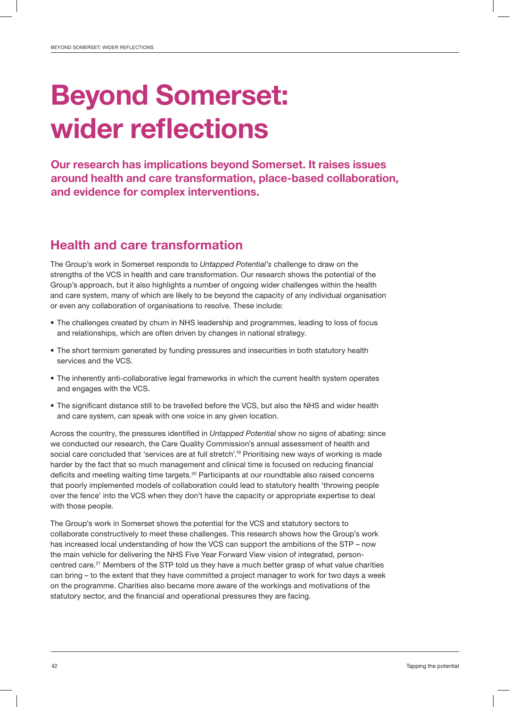## Beyond Somerset: wider reflections

Our research has implications beyond Somerset. It raises issues around health and care transformation, place-based collaboration, and evidence for complex interventions.

### Health and care transformation

The Group's work in Somerset responds to *Untapped Potential's* challenge to draw on the strengths of the VCS in health and care transformation. Our research shows the potential of the Group's approach, but it also highlights a number of ongoing wider challenges within the health and care system, many of which are likely to be beyond the capacity of any individual organisation or even any collaboration of organisations to resolve. These include:

- The challenges created by churn in NHS leadership and programmes, leading to loss of focus and relationships, which are often driven by changes in national strategy.
- The short termism generated by funding pressures and insecurities in both statutory health services and the VCS.
- The inherently anti-collaborative legal frameworks in which the current health system operates and engages with the VCS.
- The significant distance still to be travelled before the VCS, but also the NHS and wider health and care system, can speak with one voice in any given location.

Across the country, the pressures identified in *Untapped Potential* show no signs of abating: since we conducted our research, the Care Quality Commission's annual assessment of health and social care concluded that 'services are at full stretch'.<sup>19</sup> Prioritising new ways of working is made harder by the fact that so much management and clinical time is focused on reducing financial deficits and meeting waiting time targets.20 Participants at our roundtable also raised concerns that poorly implemented models of collaboration could lead to statutory health 'throwing people over the fence' into the VCS when they don't have the capacity or appropriate expertise to deal with those people.

The Group's work in Somerset shows the potential for the VCS and statutory sectors to collaborate constructively to meet these challenges. This research shows how the Group's work has increased local understanding of how the VCS can support the ambitions of the STP – now the main vehicle for delivering the NHS Five Year Forward View vision of integrated, personcentred care.<sup>21</sup> Members of the STP told us they have a much better grasp of what value charities can bring – to the extent that they have committed a project manager to work for two days a week on the programme. Charities also became more aware of the workings and motivations of the statutory sector, and the financial and operational pressures they are facing.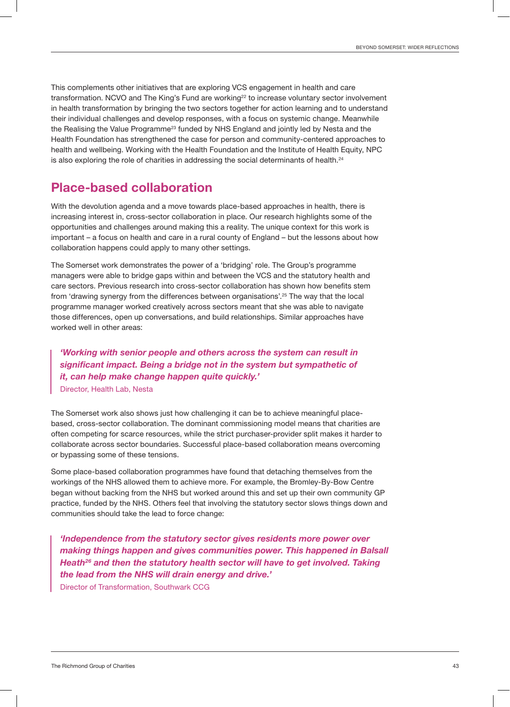This complements other initiatives that are exploring VCS engagement in health and care transformation. NCVO and The King's Fund are working<sup>22</sup> to increase voluntary sector involvement in health transformation by bringing the two sectors together for action learning and to understand their individual challenges and develop responses, with a focus on systemic change. Meanwhile the Realising the Value Programme<sup>23</sup> funded by NHS England and jointly led by Nesta and the Health Foundation has strengthened the case for person and community-centered approaches to health and wellbeing. Working with the Health Foundation and the Institute of Health Equity, NPC is also exploring the role of charities in addressing the social determinants of health.<sup>24</sup>

### Place-based collaboration

With the devolution agenda and a move towards place-based approaches in health, there is increasing interest in, cross-sector collaboration in place. Our research highlights some of the opportunities and challenges around making this a reality. The unique context for this work is important – a focus on health and care in a rural county of England – but the lessons about how collaboration happens could apply to many other settings.

The Somerset work demonstrates the power of a 'bridging' role. The Group's programme managers were able to bridge gaps within and between the VCS and the statutory health and care sectors. Previous research into cross-sector collaboration has shown how benefits stem from 'drawing synergy from the differences between organisations'.<sup>25</sup> The way that the local programme manager worked creatively across sectors meant that she was able to navigate those differences, open up conversations, and build relationships. Similar approaches have worked well in other areas:

*'Working with senior people and others across the system can result in significant impact. Being a bridge not in the system but sympathetic of it, can help make change happen quite quickly.'* Director, Health Lab, Nesta

The Somerset work also shows just how challenging it can be to achieve meaningful placebased, cross-sector collaboration. The dominant commissioning model means that charities are often competing for scarce resources, while the strict purchaser-provider split makes it harder to collaborate across sector boundaries. Successful place-based collaboration means overcoming or bypassing some of these tensions.

Some place-based collaboration programmes have found that detaching themselves from the workings of the NHS allowed them to achieve more. For example, the Bromley-By-Bow Centre began without backing from the NHS but worked around this and set up their own community GP practice, funded by the NHS. Others feel that involving the statutory sector slows things down and communities should take the lead to force change:

*'Independence from the statutory sector gives residents more power over making things happen and gives communities power. This happened in Balsall Heath26 and then the statutory health sector will have to get involved. Taking the lead from the NHS will drain energy and drive.'* Director of Transformation, Southwark CCG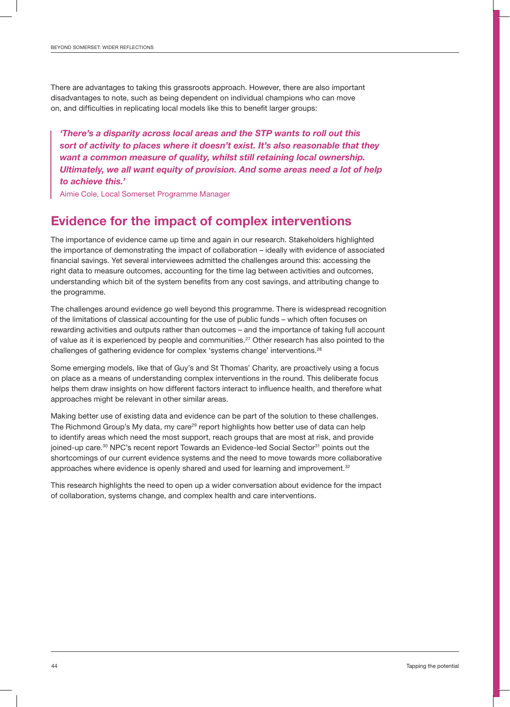There are advantages to taking this grassroots approach. However, there are also important disadvantages to note, such as being dependent on individual champions who can move on, and difficulties in replicating local models like this to benefit larger groups:

*'There's a disparity across local areas and the STP wants to roll out this sort of activity to places where it doesn't exist. It's also reasonable that they want a common measure of quality, whilst still retaining local ownership. Ultimately, we all want equity of provision. And some areas need a lot of help to achieve this.'*

Aimie Cole, Local Somerset Programme Manager

## Evidence for the impact of complex interventions

The importance of evidence came up time and again in our research. Stakeholders highlighted the importance of demonstrating the impact of collaboration – ideally with evidence of associated financial savings. Yet several interviewees admitted the challenges around this: accessing the right data to measure outcomes, accounting for the time lag between activities and outcomes, understanding which bit of the system benefits from any cost savings, and attributing change to the programme.

The challenges around evidence go well beyond this programme. There is widespread recognition of the limitations of classical accounting for the use of public funds – which often focuses on rewarding activities and outputs rather than outcomes – and the importance of taking full account of value as it is experienced by people and communities.<sup>27</sup> Other research has also pointed to the challenges of gathering evidence for complex 'systems change' interventions.<sup>28</sup>

Some emerging models, like that of Guy's and St Thomas' Charity, are proactively using a focus on place as a means of understanding complex interventions in the round. This deliberate focus helps them draw insights on how different factors interact to influence health, and therefore what approaches might be relevant in other similar areas.

Making better use of existing data and evidence can be part of the solution to these challenges. The Richmond Group's My data, my care<sup>29</sup> report highlights how better use of data can help to identify areas which need the most support, reach groups that are most at risk, and provide joined-up care.<sup>30</sup> NPC's recent report Towards an Evidence-led Social Sector<sup>31</sup> points out the shortcomings of our current evidence systems and the need to move towards more collaborative approaches where evidence is openly shared and used for learning and improvement. $32$ 

This research highlights the need to open up a wider conversation about evidence for the impact of collaboration, systems change, and complex health and care interventions.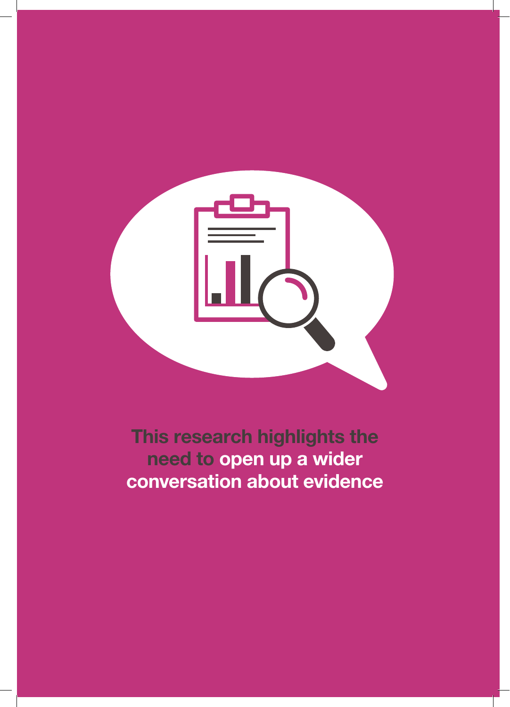

This research highlights the need to open up a wider conversation about evidence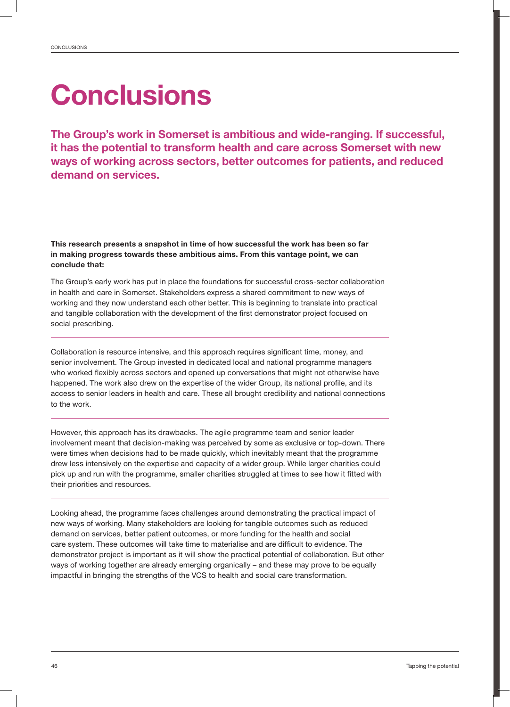## **Conclusions**

The Group's work in Somerset is ambitious and wide-ranging. If successful, it has the potential to transform health and care across Somerset with new ways of working across sectors, better outcomes for patients, and reduced demand on services.

This research presents a snapshot in time of how successful the work has been so far in making progress towards these ambitious aims. From this vantage point, we can conclude that:

The Group's early work has put in place the foundations for successful cross-sector collaboration in health and care in Somerset. Stakeholders express a shared commitment to new ways of working and they now understand each other better. This is beginning to translate into practical and tangible collaboration with the development of the first demonstrator project focused on social prescribing.

Collaboration is resource intensive, and this approach requires significant time, money, and senior involvement. The Group invested in dedicated local and national programme managers who worked flexibly across sectors and opened up conversations that might not otherwise have happened. The work also drew on the expertise of the wider Group, its national profile, and its access to senior leaders in health and care. These all brought credibility and national connections to the work.

However, this approach has its drawbacks. The agile programme team and senior leader involvement meant that decision-making was perceived by some as exclusive or top-down. There were times when decisions had to be made quickly, which inevitably meant that the programme drew less intensively on the expertise and capacity of a wider group. While larger charities could pick up and run with the programme, smaller charities struggled at times to see how it fitted with their priorities and resources.

Looking ahead, the programme faces challenges around demonstrating the practical impact of new ways of working. Many stakeholders are looking for tangible outcomes such as reduced demand on services, better patient outcomes, or more funding for the health and social care system. These outcomes will take time to materialise and are difficult to evidence. The demonstrator project is important as it will show the practical potential of collaboration. But other ways of working together are already emerging organically – and these may prove to be equally impactful in bringing the strengths of the VCS to health and social care transformation.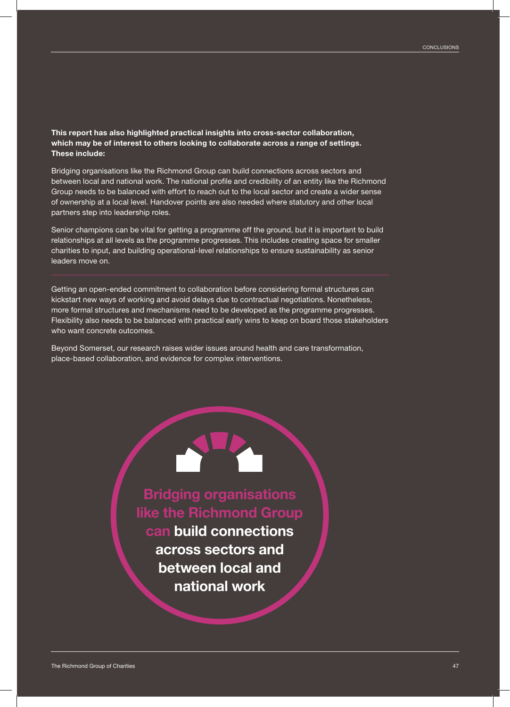This report has also highlighted practical insights into cross-sector collaboration, which may be of interest to others looking to collaborate across a range of settings. These include:

Bridging organisations like the Richmond Group can build connections across sectors and between local and national work. The national profile and credibility of an entity like the Richmond Group needs to be balanced with effort to reach out to the local sector and create a wider sense of ownership at a local level. Handover points are also needed where statutory and other local partners step into leadership roles.

Senior champions can be vital for getting a programme off the ground, but it is important to build relationships at all levels as the programme progresses. This includes creating space for smaller charities to input, and building operational-level relationships to ensure sustainability as senior leaders move on.

Getting an open-ended commitment to collaboration before considering formal structures can kickstart new ways of working and avoid delays due to contractual negotiations. Nonetheless, more formal structures and mechanisms need to be developed as the programme progresses. Flexibility also needs to be balanced with practical early wins to keep on board those stakeholders who want concrete outcomes.

Beyond Somerset, our research raises wider issues around health and care transformation, place-based collaboration, and evidence for complex interventions.

> Bridging organisations like the Richmond Group can build connections across sectors and between local and national work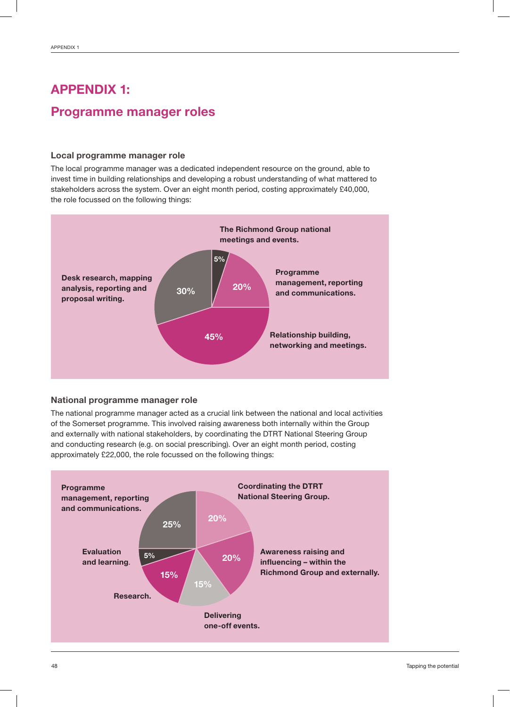## APPENDIX 1: Programme manager roles

#### Local programme manager role

The local programme manager was a dedicated independent resource on the ground, able to invest time in building relationships and developing a robust understanding of what mattered to stakeholders across the system. Over an eight month period, costing approximately £40,000, the role focussed on the following things:



#### National programme manager role

The national programme manager acted as a crucial link between the national and local activities of the Somerset programme. This involved raising awareness both internally within the Group and externally with national stakeholders, by coordinating the DTRT National Steering Group and conducting research (e.g. on social prescribing). Over an eight month period, costing approximately £22,000, the role focussed on the following things:

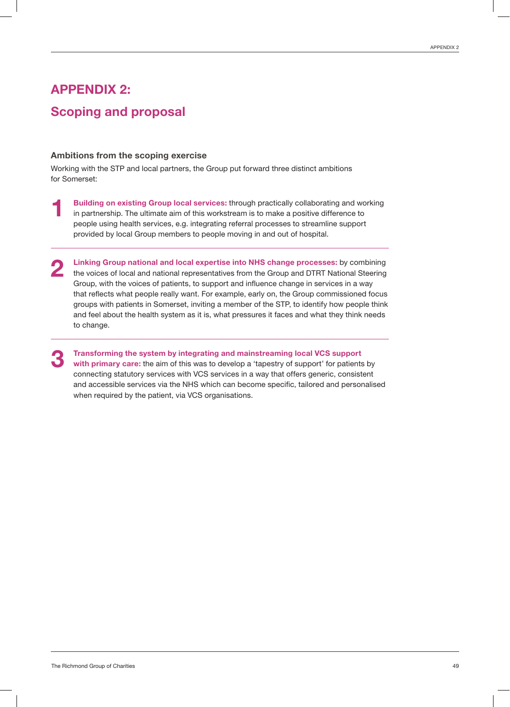## APPENDIX 2: Scoping and proposal

#### Ambitions from the scoping exercise

Working with the STP and local partners, the Group put forward three distinct ambitions for Somerset:

- Building on existing Group local services: through practically collaborating and working in partnership. The ultimate aim of this workstream is to make a positive difference to people using health services, e.g. integrating referral processes to streamline support provided by local Group members to people moving in and out of hospital. 1
- Linking Group national and local expertise into NHS change processes: by combining the voices of local and national representatives from the Group and DTRT National Steering Group, with the voices of patients, to support and influence change in services in a way that reflects what people really want. For example, early on, the Group commissioned focus groups with patients in Somerset, inviting a member of the STP, to identify how people think and feel about the health system as it is, what pressures it faces and what they think needs to change. 2

Transforming the system by integrating and mainstreaming local VCS support with primary care: the aim of this was to develop a 'tapestry of support' for patients by connecting statutory services with VCS services in a way that offers generic, consistent and accessible services via the NHS which can become specific, tailored and personalised when required by the patient, via VCS organisations. 3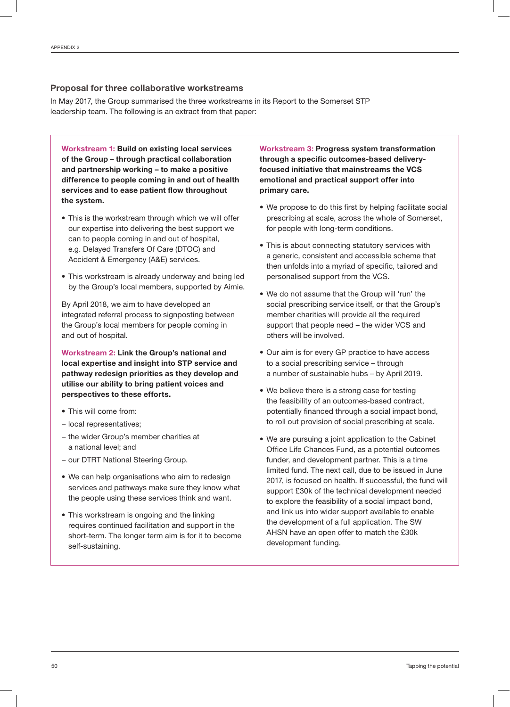#### Proposal for three collaborative workstreams

In May 2017, the Group summarised the three workstreams in its Report to the Somerset STP leadership team. The following is an extract from that paper:

Workstream 1: Build on existing local services of the Group – through practical collaboration and partnership working – to make a positive difference to people coming in and out of health services and to ease patient flow throughout the system.

- This is the workstream through which we will offer our expertise into delivering the best support we can to people coming in and out of hospital, e.g. Delayed Transfers Of Care (DTOC) and Accident & Emergency (A&E) services.
- This workstream is already underway and being led by the Group's local members, supported by Aimie.

By April 2018, we aim to have developed an integrated referral process to signposting between the Group's local members for people coming in and out of hospital.

Workstream 2: Link the Group's national and local expertise and insight into STP service and pathway redesign priorities as they develop and utilise our ability to bring patient voices and perspectives to these efforts.

- This will come from:
- − local representatives;
- − the wider Group's member charities at a national level; and
- − our DTRT National Steering Group.
- We can help organisations who aim to redesign services and pathways make sure they know what the people using these services think and want.
- This workstream is ongoing and the linking requires continued facilitation and support in the short-term. The longer term aim is for it to become self-sustaining.

Workstream 3: Progress system transformation through a specific outcomes-based deliveryfocused initiative that mainstreams the VCS emotional and practical support offer into primary care.

- We propose to do this first by helping facilitate social prescribing at scale, across the whole of Somerset, for people with long-term conditions.
- This is about connecting statutory services with a generic, consistent and accessible scheme that then unfolds into a myriad of specific, tailored and personalised support from the VCS.
- We do not assume that the Group will 'run' the social prescribing service itself, or that the Group's member charities will provide all the required support that people need – the wider VCS and others will be involved.
- Our aim is for every GP practice to have access to a social prescribing service – through a number of sustainable hubs – by April 2019.
- We believe there is a strong case for testing the feasibility of an outcomes-based contract, potentially financed through a social impact bond, to roll out provision of social prescribing at scale.
- We are pursuing a joint application to the Cabinet Office Life Chances Fund, as a potential outcomes funder, and development partner. This is a time limited fund. The next call, due to be issued in June 2017, is focused on health. If successful, the fund will support £30k of the technical development needed to explore the feasibility of a social impact bond, and link us into wider support available to enable the development of a full application. The SW AHSN have an open offer to match the £30k development funding.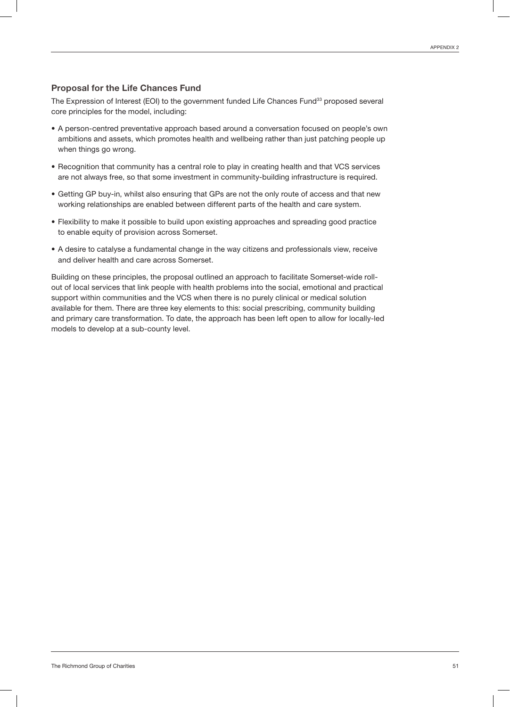#### Proposal for the Life Chances Fund

The Expression of Interest (EOI) to the government funded Life Chances Fund<sup>33</sup> proposed several core principles for the model, including:

- A person-centred preventative approach based around a conversation focused on people's own ambitions and assets, which promotes health and wellbeing rather than just patching people up when things go wrong.
- Recognition that community has a central role to play in creating health and that VCS services are not always free, so that some investment in community-building infrastructure is required.
- Getting GP buy-in, whilst also ensuring that GPs are not the only route of access and that new working relationships are enabled between different parts of the health and care system.
- Flexibility to make it possible to build upon existing approaches and spreading good practice to enable equity of provision across Somerset.
- A desire to catalyse a fundamental change in the way citizens and professionals view, receive and deliver health and care across Somerset.

Building on these principles, the proposal outlined an approach to facilitate Somerset-wide rollout of local services that link people with health problems into the social, emotional and practical support within communities and the VCS when there is no purely clinical or medical solution available for them. There are three key elements to this: social prescribing, community building and primary care transformation. To date, the approach has been left open to allow for locally-led models to develop at a sub-county level.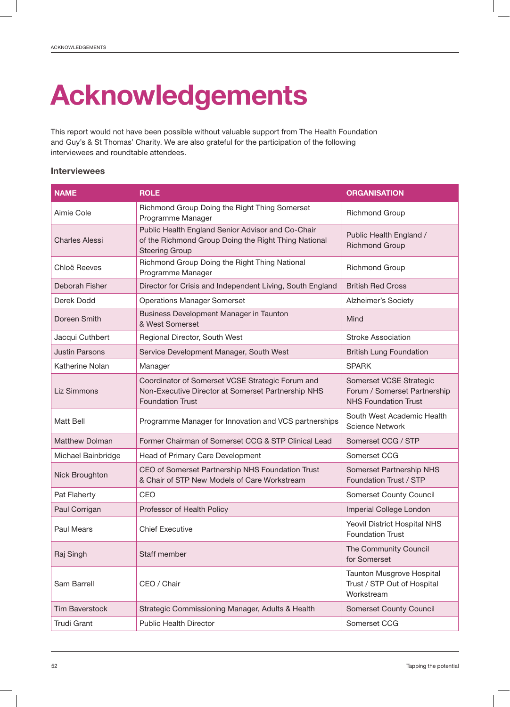## Acknowledgements

This report would not have been possible without valuable support from The Health Foundation and Guy's & St Thomas' Charity. We are also grateful for the participation of the following interviewees and roundtable attendees.

#### Interviewees

| <b>NAME</b>                                         | <b>ROLE</b>                                                                                                                        | <b>ORGANISATION</b>                                                                    |
|-----------------------------------------------------|------------------------------------------------------------------------------------------------------------------------------------|----------------------------------------------------------------------------------------|
| Aimie Cole                                          | Richmond Group Doing the Right Thing Somerset<br>Programme Manager                                                                 | <b>Richmond Group</b>                                                                  |
| <b>Charles Alessi</b>                               | Public Health England Senior Advisor and Co-Chair<br>of the Richmond Group Doing the Right Thing National<br><b>Steering Group</b> | Public Health England /<br><b>Richmond Group</b>                                       |
| Chloë Reeves                                        | Richmond Group Doing the Right Thing National<br>Programme Manager                                                                 | <b>Richmond Group</b>                                                                  |
| Deborah Fisher                                      | Director for Crisis and Independent Living, South England                                                                          | <b>British Red Cross</b>                                                               |
| Derek Dodd                                          | <b>Operations Manager Somerset</b>                                                                                                 | Alzheimer's Society                                                                    |
| Doreen Smith                                        | Business Development Manager in Taunton<br>& West Somerset                                                                         | Mind                                                                                   |
| Jacqui Cuthbert                                     | Regional Director, South West                                                                                                      | Stroke Association                                                                     |
| <b>Justin Parsons</b>                               | Service Development Manager, South West                                                                                            | <b>British Lung Foundation</b>                                                         |
| Katherine Nolan                                     | Manager                                                                                                                            | <b>SPARK</b>                                                                           |
| <b>Liz Simmons</b>                                  | Coordinator of Somerset VCSE Strategic Forum and<br>Non-Executive Director at Somerset Partnership NHS<br><b>Foundation Trust</b>  | Somerset VCSE Strategic<br>Forum / Somerset Partnership<br><b>NHS Foundation Trust</b> |
| Matt Bell                                           | Programme Manager for Innovation and VCS partnerships                                                                              | South West Academic Health<br><b>Science Network</b>                                   |
| <b>Matthew Dolman</b>                               | Former Chairman of Somerset CCG & STP Clinical Lead                                                                                | Somerset CCG / STP                                                                     |
| Michael Bainbridge                                  | Head of Primary Care Development                                                                                                   | Somerset CCG                                                                           |
| Nick Broughton                                      | CEO of Somerset Partnership NHS Foundation Trust<br>& Chair of STP New Models of Care Workstream                                   | Somerset Partnership NHS<br>Foundation Trust / STP                                     |
| Pat Flaherty                                        | CEO                                                                                                                                | Somerset County Council                                                                |
| Paul Corrigan                                       | Professor of Health Policy                                                                                                         | Imperial College London                                                                |
| Paul Mears                                          | <b>Chief Executive</b>                                                                                                             | Yeovil District Hospital NHS<br><b>Foundation Trust</b>                                |
| Raj Singh                                           | Staff member                                                                                                                       | The Community Council<br>for Somerset                                                  |
| Sam Barrell                                         | CEO / Chair                                                                                                                        | Taunton Musgrove Hospital<br>Trust / STP Out of Hospital<br>Workstream                 |
| <b>Tim Baverstock</b>                               | Strategic Commissioning Manager, Adults & Health                                                                                   | <b>Somerset County Council</b>                                                         |
| <b>Trudi Grant</b><br><b>Public Health Director</b> |                                                                                                                                    | Somerset CCG                                                                           |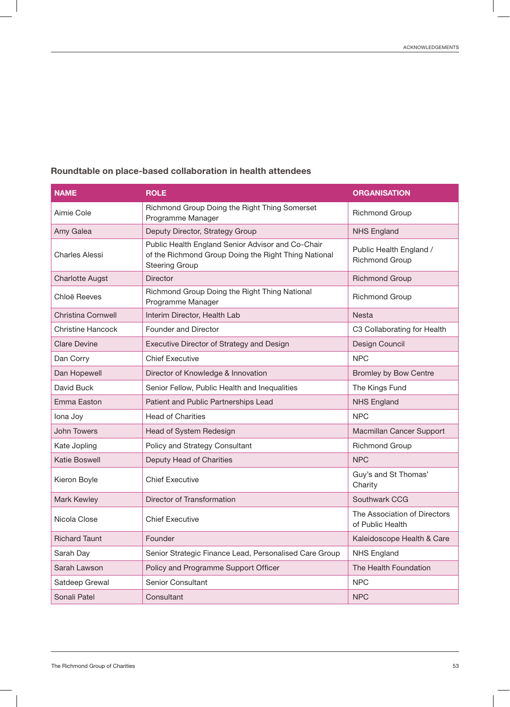| <b>NAME</b>               | <b>ROLE</b>                                                                                                                        | <b>ORGANISATION</b>                              |
|---------------------------|------------------------------------------------------------------------------------------------------------------------------------|--------------------------------------------------|
| Aimie Cole                | Richmond Group Doing the Right Thing Somerset<br>Programme Manager                                                                 | <b>Richmond Group</b>                            |
| Amy Galea                 | Deputy Director, Strategy Group                                                                                                    | <b>NHS England</b>                               |
| <b>Charles Alessi</b>     | Public Health England Senior Advisor and Co-Chair<br>of the Richmond Group Doing the Right Thing National<br><b>Steering Group</b> | Public Health England /<br><b>Richmond Group</b> |
| <b>Charlotte Augst</b>    | <b>Director</b>                                                                                                                    | <b>Richmond Group</b>                            |
| Chloë Reeves              | Richmond Group Doing the Right Thing National<br>Programme Manager                                                                 | <b>Richmond Group</b>                            |
| <b>Christina Cornwell</b> | Interim Director, Health Lab                                                                                                       | <b>Nesta</b>                                     |
| <b>Christine Hancock</b>  | Founder and Director                                                                                                               | C3 Collaborating for Health                      |
| <b>Clare Devine</b>       | Executive Director of Strategy and Design                                                                                          | Design Council                                   |
| Dan Corry                 | <b>Chief Executive</b>                                                                                                             | <b>NPC</b>                                       |
| Dan Hopewell              | Director of Knowledge & Innovation                                                                                                 | <b>Bromley by Bow Centre</b>                     |
| David Buck                | Senior Fellow, Public Health and Inequalities                                                                                      | The Kings Fund                                   |
| Emma Easton               | Patient and Public Partnerships Lead                                                                                               | <b>NHS England</b>                               |
| lona Joy                  | <b>Head of Charities</b>                                                                                                           | <b>NPC</b>                                       |
| <b>John Towers</b>        | Head of System Redesign                                                                                                            | Macmillan Cancer Support                         |
| Kate Jopling              | Policy and Strategy Consultant                                                                                                     | <b>Richmond Group</b>                            |
| Katie Boswell             | Deputy Head of Charities                                                                                                           | <b>NPC</b>                                       |
| Kieron Boyle              | <b>Chief Executive</b>                                                                                                             | Guy's and St Thomas'<br>Charity                  |
| Mark Kewley               | Director of Transformation                                                                                                         | Southwark CCG                                    |
| Nicola Close              | <b>Chief Executive</b>                                                                                                             | The Association of Directors<br>of Public Health |
| <b>Richard Taunt</b>      | Founder                                                                                                                            | Kaleidoscope Health & Care                       |
| Sarah Day                 | Senior Strategic Finance Lead, Personalised Care Group                                                                             | NHS England                                      |
| Sarah Lawson              | Policy and Programme Support Officer                                                                                               | The Health Foundation                            |
| Satdeep Grewal            | Senior Consultant                                                                                                                  | <b>NPC</b>                                       |
| Sonali Patel              | Consultant                                                                                                                         | <b>NPC</b>                                       |

#### Roundtable on place-based collaboration in health attendees

 $\begin{array}{c} \hline \end{array}$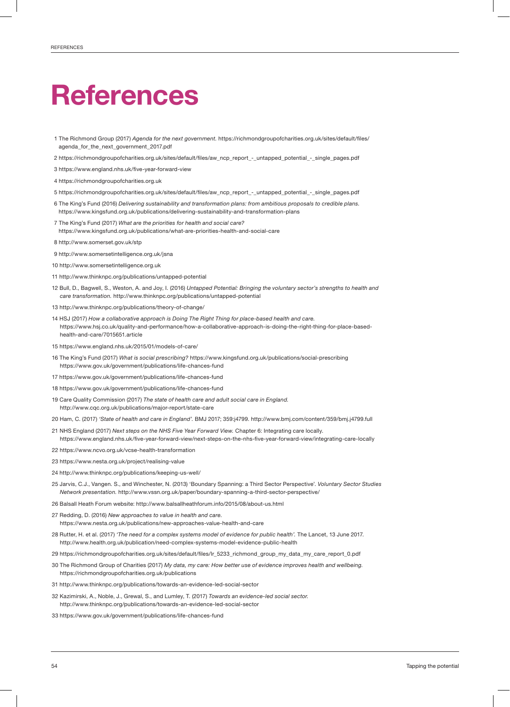## **References**

- 1 The Richmond Group (2017) *Agenda for the next government.* https://richmondgroupofcharities.org.uk/sites/default/files/ agenda\_for\_the\_next\_government\_2017.pdf
- 2 https://richmondgroupofcharities.org.uk/sites/default/files/aw\_ncp\_report\_-\_untapped\_potential\_-\_single\_pages.pdf
- 3 https://www.england.nhs.uk/five-year-forward-view
- 4 https://richmondgroupofcharities.org.uk
- 5 https://richmondgroupofcharities.org.uk/sites/default/files/aw\_ncp\_report\_-\_untapped\_potential\_-\_single\_pages.pdf
- 6 The King's Fund (2016) *Delivering sustainability and transformation plans: from ambitious proposals to credible plans.*  https://www.kingsfund.org.uk/publications/delivering-sustainability-and-transformation-plans
- 7 The King's Fund (2017) *What are the priorities for health and social care?* https://www.kingsfund.org.uk/publications/what-are-priorities-health-and-social-care
- 8 http://www.somerset.gov.uk/stp
- 9 http://www.somersetintelligence.org.uk/jsna
- 10 http://www.somersetintelligence.org.uk
- 11 http://www.thinknpc.org/publications/untapped-potential
- 12 Bull, D., Bagwell, S., Weston, A. and Joy, I. (2016) *Untapped Potential: Bringing the voluntary sector's strengths to health and care transformation.* http://www.thinknpc.org/publications/untapped-potential
- 13 http://www.thinknpc.org/publications/theory-of-change/
- 14 HSJ (2017) *How a collaborative approach is Doing The Right Thing for place-based health and care.*  https://www.hsj.co.uk/quality-and-performance/how-a-collaborative-approach-is-doing-the-right-thing-for-place-basedhealth-and-care/7015651.article
- 15 https://www.england.nhs.uk/2015/01/models-of-care/
- 16 The King's Fund (2017) *What is social prescribing?* https://www.kingsfund.org.uk/publications/social-prescribing https://www.gov.uk/government/publications/life-chances-fund
- 17 https://www.gov.uk/government/publications/life-chances-fund
- 18 https://www.gov.uk/government/publications/life-chances-fund
- 19 Care Quality Commission (2017) *The state of health care and adult social care in England.* http://www.cqc.org.uk/publications/major-report/state-care
- 20 Ham, C. (2017) *'State of health and care in England'.* BMJ 2017; 359:j4799. http://www.bmj.com/content/359/bmj.j4799.full
- 21 NHS England (2017) *Next steps on the NHS Five Year Forward View.* Chapter 6: Integrating care locally. https://www.england.nhs.uk/five-year-forward-view/next-steps-on-the-nhs-five-year-forward-view/integrating-care-locally
- 22 https://www.ncvo.org.uk/vcse-health-transformation
- 23 https://www.nesta.org.uk/project/realising-value
- 24 http://www.thinknpc.org/publications/keeping-us-well/
- 25 Jarvis, C.J., Vangen. S., and Winchester, N. (2013) 'Boundary Spanning: a Third Sector Perspective'. *Voluntary Sector Studies Network presentation.* http://www.vssn.org.uk/paper/boundary-spanning-a-third-sector-perspective/
- 26 Balsall Heath Forum website: http://www.balsallheathforum.info/2015/08/about-us.html
- 27 Redding, D. (2016) *New approaches to value in health and care.* https://www.nesta.org.uk/publications/new-approaches-value-health-and-care
- 28 Rutter, H. et al. (2017) *'The need for a complex systems model of evidence for public health'.* The Lancet, 13 June 2017. http://www.health.org.uk/publication/need-complex-systems-model-evidence-public-health
- 29 https://richmondgroupofcharities.org.uk/sites/default/files/lr\_5233\_richmond\_group\_my\_data\_my\_care\_report\_0.pdf
- 30 The Richmond Group of Charities (2017) *My data, my care: How better use of evidence improves health and wellbeing.* https://richmondgroupofcharities.org.uk/publications
- 31 http://www.thinknpc.org/publications/towards-an-evidence-led-social-sector
- 32 Kazimirski, A., Noble, J., Grewal, S., and Lumley, T. (2017) *Towards an evidence-led social sector.* http://www.thinknpc.org/publications/towards-an-evidence-led-social-sector
- 33 https://www.gov.uk/government/publications/life-chances-fund